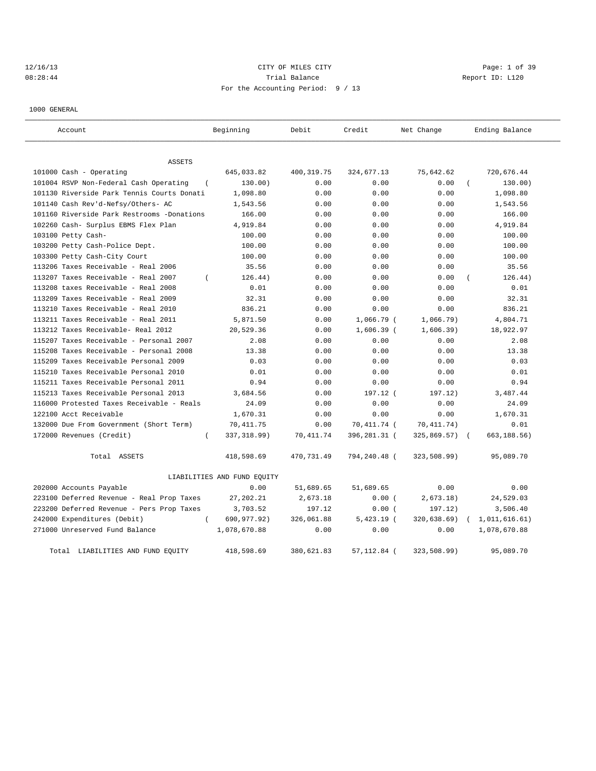# 12/16/13 Page: 1 of 39 08:28:44 Trial Balance Trial Balance Report ID: L120 For the Accounting Period: 9 / 13

1000 GENERAL

| Account                                            | Beginning                   | Debit       | Credit       | Net Change   | Ending Balance             |
|----------------------------------------------------|-----------------------------|-------------|--------------|--------------|----------------------------|
| ASSETS                                             |                             |             |              |              |                            |
| 101000 Cash - Operating                            | 645,033.82                  | 400, 319.75 | 324,677.13   | 75,642.62    | 720,676.44                 |
| 101004 RSVP Non-Federal Cash Operating<br>$\left($ | 130.00)                     | 0.00        | 0.00         | 0.00         | 130.00)                    |
| 101130 Riverside Park Tennis Courts Donati         | 1,098.80                    | 0.00        | 0.00         | 0.00         | 1,098.80                   |
| 101140 Cash Rev'd-Nefsy/Others- AC                 | 1,543.56                    | 0.00        | 0.00         | 0.00         | 1,543.56                   |
| 101160 Riverside Park Restrooms -Donations         | 166.00                      | 0.00        | 0.00         | 0.00         | 166.00                     |
| 102260 Cash- Surplus EBMS Flex Plan                | 4,919.84                    | 0.00        | 0.00         | 0.00         | 4,919.84                   |
| 103100 Petty Cash-                                 | 100.00                      | 0.00        | 0.00         | 0.00         | 100.00                     |
| 103200 Petty Cash-Police Dept.                     | 100.00                      | 0.00        | 0.00         | 0.00         | 100.00                     |
| 103300 Petty Cash-City Court                       | 100.00                      | 0.00        | 0.00         | 0.00         | 100.00                     |
| 113206 Taxes Receivable - Real 2006                | 35.56                       | 0.00        | 0.00         | 0.00         | 35.56                      |
| 113207 Taxes Receivable - Real 2007                | 126.44)                     | 0.00        | 0.00         | 0.00         | 126.44)                    |
| 113208 taxes Receivable - Real 2008                | 0.01                        | 0.00        | 0.00         | 0.00         | 0.01                       |
| 113209 Taxes Receivable - Real 2009                | 32.31                       | 0.00        | 0.00         | 0.00         | 32.31                      |
| 113210 Taxes Receivable - Real 2010                | 836.21                      | 0.00        | 0.00         | 0.00         | 836.21                     |
| 113211 Taxes Receivable - Real 2011                | 5,871.50                    | 0.00        | 1,066.79 (   | 1,066.79)    | 4,804.71                   |
| 113212 Taxes Receivable- Real 2012                 | 20,529.36                   | 0.00        | $1,606.39$ ( | 1,606.39)    | 18,922.97                  |
| 115207 Taxes Receivable - Personal 2007            | 2.08                        | 0.00        | 0.00         | 0.00         | 2.08                       |
| 115208 Taxes Receivable - Personal 2008            | 13.38                       | 0.00        | 0.00         | 0.00         | 13.38                      |
| 115209 Taxes Receivable Personal 2009              | 0.03                        | 0.00        | 0.00         | 0.00         | 0.03                       |
| 115210 Taxes Receivable Personal 2010              | 0.01                        | 0.00        | 0.00         | 0.00         | 0.01                       |
| 115211 Taxes Receivable Personal 2011              | 0.94                        | 0.00        | 0.00         | 0.00         | 0.94                       |
| 115213 Taxes Receivable Personal 2013              | 3,684.56                    | 0.00        | 197.12 (     | 197.12)      | 3,487.44                   |
| 116000 Protested Taxes Receivable - Reals          | 24.09                       | 0.00        | 0.00         | 0.00         | 24.09                      |
| 122100 Acct Receivable                             | 1,670.31                    | 0.00        | 0.00         | 0.00         | 1,670.31                   |
| 132000 Due From Government (Short Term)            | 70, 411.75                  | 0.00        | 70,411.74 (  | 70, 411. 74) | 0.01                       |
| 172000 Revenues (Credit)<br>$\left($               | 337, 318.99)                | 70, 411.74  | 396,281.31 ( | 325,869.57)  | 663, 188.56)<br>$\sqrt{ }$ |
| Total ASSETS                                       | 418,598.69                  | 470,731.49  | 794,240.48 ( | 323,508.99)  | 95,089.70                  |
|                                                    | LIABILITIES AND FUND EQUITY |             |              |              |                            |
| 202000 Accounts Payable                            | 0.00                        | 51,689.65   | 51,689.65    | 0.00         | 0.00                       |
| 223100 Deferred Revenue - Real Prop Taxes          | 27,202.21                   | 2,673.18    | 0.00(        | 2,673.18)    | 24,529.03                  |
| 223200 Deferred Revenue - Pers Prop Taxes          | 3,703.52                    | 197.12      | 0.00(        | 197.12)      | 3,506.40                   |
| 242000 Expenditures (Debit)<br>$\left($            | 690,977.92)                 | 326,061.88  | $5,423.19$ ( | 320,638.69)  | 1,011,616.61)              |
| 271000 Unreserved Fund Balance                     | 1,078,670.88                | 0.00        | 0.00         | 0.00         | 1,078,670.88               |
| Total LIABILITIES AND FUND EQUITY                  | 418,598.69                  | 380,621.83  | 57, 112.84 ( | 323,508.99)  | 95,089.70                  |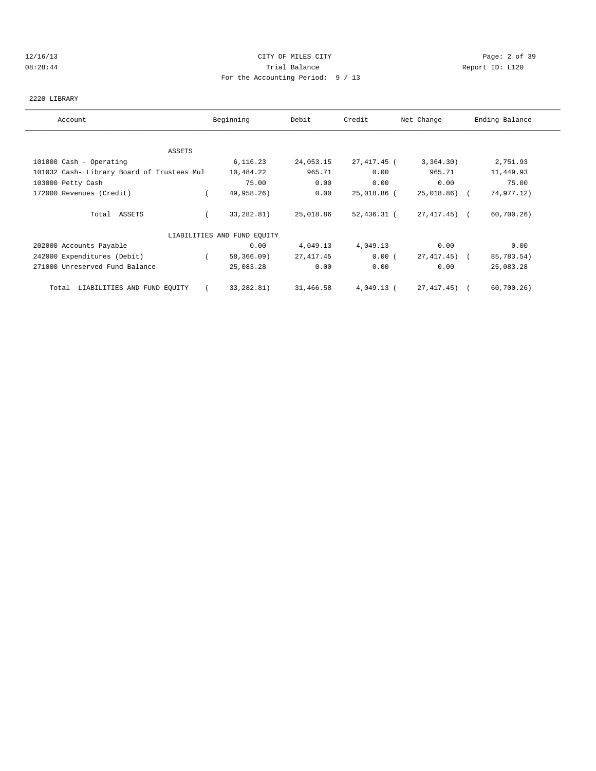## 12/16/13 CITY OF MILES CITY Page: 2 of 39 08:28:44 Trial Balance Report ID: L120 For the Accounting Period: 9 / 13

# 2220 LIBRARY

| Account                                    | Beginning                   | Debit      | Credit      | Net Change   | Ending Balance |
|--------------------------------------------|-----------------------------|------------|-------------|--------------|----------------|
|                                            |                             |            |             |              |                |
| ASSETS                                     |                             |            |             |              |                |
| 101000 Cash - Operating                    | 6,116.23                    | 24,053.15  | 27,417.45 ( | 3,364.30)    | 2,751.93       |
| 101032 Cash- Library Board of Trustees Mul | 10,484.22                   | 965.71     | 0.00        | 965.71       | 11,449.93      |
| 103000 Petty Cash                          | 75.00                       | 0.00       | 0.00        | 0.00         | 75.00          |
| 172000 Revenues (Credit)                   | 49,958.26)                  | 0.00       | 25,018.86 ( | 25,018.86) ( | 74,977.12)     |
| Total ASSETS                               | 33,282.81)                  | 25,018.86  | 52,436.31 ( | 27,417.45) ( | 60,700.26      |
|                                            | LIABILITIES AND FUND EQUITY |            |             |              |                |
| 202000 Accounts Payable                    | 0.00                        | 4,049.13   | 4,049.13    | 0.00         | 0.00           |
| 242000 Expenditures (Debit)                | 58,366.09)                  | 27, 417.45 | 0.00(       | 27,417.45) ( | 85,783.54)     |
| 271000 Unreserved Fund Balance             | 25,083.28                   | 0.00       | 0.00        | 0.00         | 25,083.28      |
| LIABILITIES AND FUND EQUITY<br>Total       | 33,282.81)                  | 31,466.58  | 4,049.13 (  | 27,417.45) ( | 60,700.26      |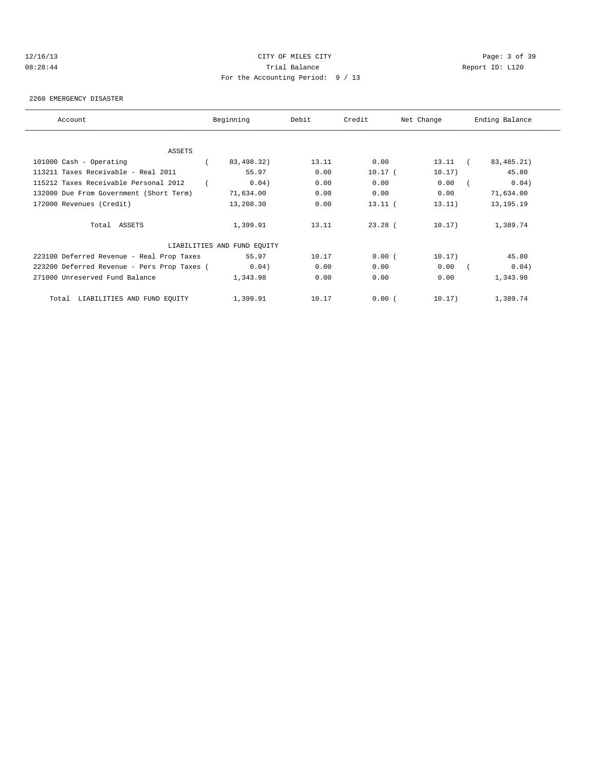## 12/16/13 CITY OF MILES CITY Page: 3 of 39 08:28:44 Trial Balance Report ID: L120 For the Accounting Period: 9 / 13

#### 2260 EMERGENCY DISASTER

| Account                                                        | Beginning                   | Debit | Credit    | Net Change        | Ending Balance      |
|----------------------------------------------------------------|-----------------------------|-------|-----------|-------------------|---------------------|
|                                                                |                             |       |           |                   |                     |
| ASSETS                                                         |                             | 13.11 | 0.00      |                   | 83, 485. 21)        |
| 101000 Cash - Operating<br>113211 Taxes Receivable - Real 2011 | 83,498.32)<br>55.97         | 0.00  | $10.17$ ( | 13.11 (<br>10.17) | 45.80               |
|                                                                |                             |       |           |                   |                     |
| 115212 Taxes Receivable Personal 2012                          | 0.04)                       | 0.00  | 0.00      | 0.00              | 0.04)<br>$\sqrt{2}$ |
| 132000 Due From Government (Short Term)                        | 71,634.00                   | 0.00  | 0.00      | 0.00              | 71,634.00           |
| 172000 Revenues (Credit)                                       | 13,208.30                   | 0.00  | $13.11$ ( | 13.11)            | 13, 195. 19         |
| Total ASSETS                                                   | 1,399.91                    | 13.11 | $23.28$ ( | 10.17)            | 1,389.74            |
|                                                                | LIABILITIES AND FUND EQUITY |       |           |                   |                     |
| 223100 Deferred Revenue - Real Prop Taxes                      | 55.97                       | 10.17 | 0.00(     | 10.17)            | 45.80               |
| 223200 Deferred Revenue - Pers Prop Taxes (                    | 0.04)                       | 0.00  | 0.00      | 0.00              | 0.04)<br>$\sqrt{2}$ |
| 271000 Unreserved Fund Balance                                 | 1,343.98                    | 0.00  | 0.00      | 0.00              | 1,343.98            |
| Total LIABILITIES AND FUND EQUITY                              | 1,399.91                    | 10.17 | 0.00(     | 10.17)            | 1,389.74            |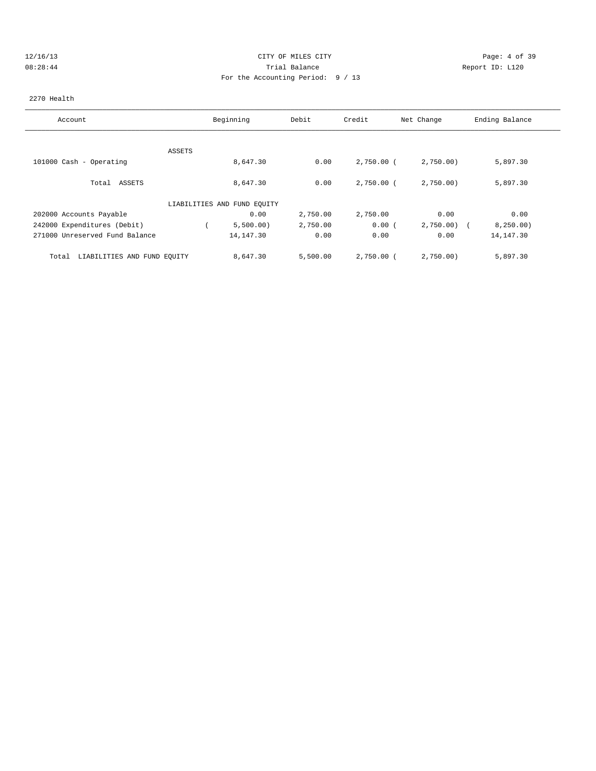## 12/16/13 CITY OF MILES CITY Page: 4 of 39 08:28:44 Trial Balance Report ID: L120 For the Accounting Period: 9 / 13

### 2270 Health

| Account                              |        | Beginning                   | Debit    | Credit       | Net Change | Ending Balance |
|--------------------------------------|--------|-----------------------------|----------|--------------|------------|----------------|
|                                      |        |                             |          |              |            |                |
|                                      |        |                             |          |              |            |                |
|                                      | ASSETS |                             |          |              |            |                |
| 101000 Cash - Operating              |        | 8,647.30                    | 0.00     | $2,750.00$ ( | 2,750.00   | 5,897.30       |
|                                      |        |                             |          |              |            |                |
| Total ASSETS                         |        | 8,647.30                    | 0.00     | $2,750.00$ ( | 2,750.00   | 5,897.30       |
|                                      |        |                             |          |              |            |                |
|                                      |        | LIABILITIES AND FUND EQUITY |          |              |            |                |
| 202000 Accounts Payable              |        | 0.00                        | 2,750.00 | 2,750.00     | 0.00       | 0.00           |
| 242000 Expenditures (Debit)          |        | 5,500.00)                   | 2,750.00 | 0.00(        | 2,750.00   | 8, 250.00)     |
| 271000 Unreserved Fund Balance       |        | 14, 147.30                  | 0.00     | 0.00         | 0.00       | 14, 147.30     |
|                                      |        |                             |          |              |            |                |
| LIABILITIES AND FUND EQUITY<br>Total |        | 8,647.30                    | 5,500.00 | 2,750.00 (   | 2,750.00   | 5,897.30       |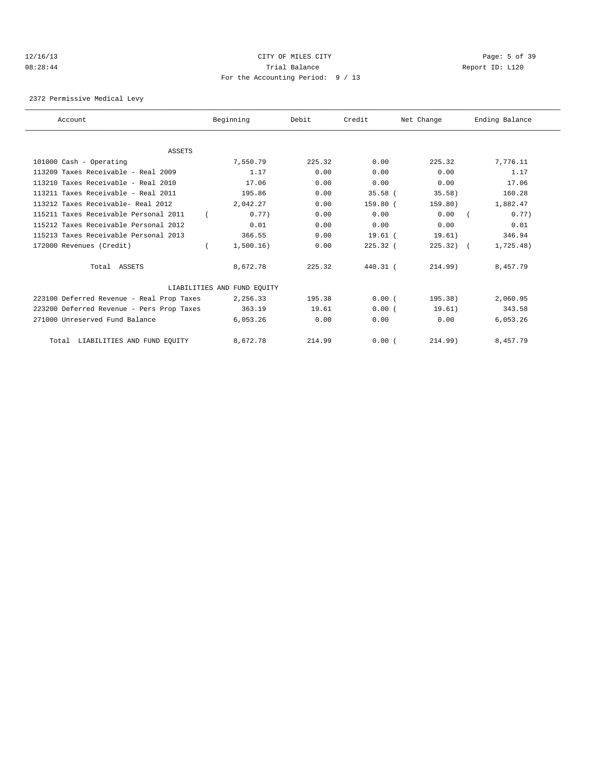## 12/16/13 CITY OF MILES CITY Page: 5 of 39 08:28:44 Trial Balance Report ID: L120 For the Accounting Period: 9 / 13

2372 Permissive Medical Levy

| Account                                   | Beginning                   | Debit  | Credit      | Net Change | Ending Balance |
|-------------------------------------------|-----------------------------|--------|-------------|------------|----------------|
|                                           |                             |        |             |            |                |
| ASSETS                                    |                             |        |             |            |                |
| 101000 Cash - Operating                   | 7,550.79                    | 225.32 | 0.00        | 225.32     | 7,776.11       |
| $113209$ Taxes Receivable - Real $2009$   | 1.17                        | 0.00   | 0.00        | 0.00       | 1.17           |
| 113210 Taxes Receivable - Real 2010       | 17.06                       | 0.00   | 0.00        | 0.00       | 17.06          |
| 113211 Taxes Receivable - Real 2011       | 195.86                      | 0.00   | $35.58$ (   | 35.58)     | 160.28         |
| 113212 Taxes Receivable- Real 2012        | 2,042.27                    | 0.00   | 159.80 (    | 159.80)    | 1,882.47       |
| 115211 Taxes Receivable Personal 2011     | 0.77)                       | 0.00   | 0.00        | 0.00       | 0.77)          |
| 115212 Taxes Receivable Personal 2012     | 0.01                        | 0.00   | 0.00        | 0.00       | 0.01           |
| 115213 Taxes Receivable Personal 2013     | 366.55                      | 0.00   | $19.61$ $($ | 19.61)     | 346.94         |
| 172000 Revenues (Credit)                  | 1,500.16)                   | 0.00   | $225.32$ (  | $225.32$ ( | 1,725.48)      |
| Total ASSETS                              | 8,672.78                    | 225.32 | 440.31 (    | 214.99)    | 8,457.79       |
|                                           | LIABILITIES AND FUND EQUITY |        |             |            |                |
| 223100 Deferred Revenue - Real Prop Taxes | 2,256.33                    | 195.38 | 0.00(       | 195.38)    | 2,060.95       |
| 223200 Deferred Revenue - Pers Prop Taxes | 363.19                      | 19.61  | 0.00(       | 19.61)     | 343.58         |
| 271000 Unreserved Fund Balance            | 6,053.26                    | 0.00   | 0.00        | 0.00       | 6,053.26       |
| Total LIABILITIES AND FUND EQUITY         | 8,672.78                    | 214.99 | 0.00(       | 214.99)    | 8,457.79       |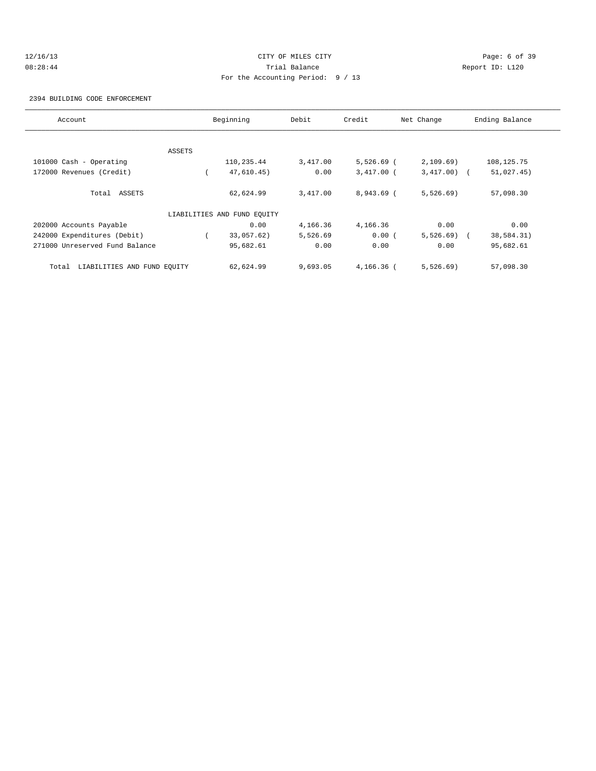# 12/16/13 CITY OF MILES CITY Page: 6 of 39 08:28:44 Trial Balance Report ID: L120 For the Accounting Period: 9 / 13

2394 BUILDING CODE ENFORCEMENT

| Account                              |        | Beginning                   | Debit    | Credit       | Net Change     | Ending Balance |
|--------------------------------------|--------|-----------------------------|----------|--------------|----------------|----------------|
|                                      |        |                             |          |              |                |                |
|                                      | ASSETS |                             |          |              |                |                |
| 101000 Cash - Operating              |        | 110,235.44                  | 3,417.00 | $5,526.69$ ( | 2,109.69)      | 108, 125.75    |
| 172000 Revenues (Credit)             |        | 47,610.45)                  | 0.00     | $3,417.00$ ( | $3,417.00$ ) ( | 51,027.45)     |
| Total ASSETS                         |        | 62,624.99                   | 3,417.00 | $8,943.69$ ( | 5,526.69)      | 57,098.30      |
|                                      |        | LIABILITIES AND FUND EQUITY |          |              |                |                |
| 202000 Accounts Payable              |        | 0.00                        | 4,166.36 | 4,166.36     | 0.00           | 0.00           |
| 242000 Expenditures (Debit)          |        | 33,057.62)                  | 5,526.69 | 0.00(        | $5,526.69$ (   | 38,584.31)     |
| 271000 Unreserved Fund Balance       |        | 95,682.61                   | 0.00     | 0.00         | 0.00           | 95,682.61      |
| LIABILITIES AND FUND EQUITY<br>Total |        | 62,624.99                   | 9,693.05 | $4.166.36$ ( | 5,526.69)      | 57,098.30      |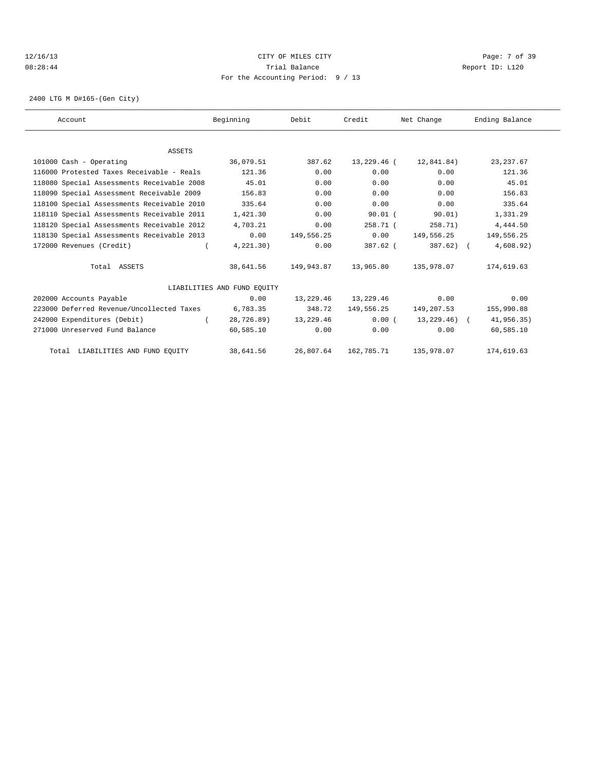## 12/16/13 CITY OF MILES CITY Page: 7 of 39 08:28:44 Trial Balance Report ID: L120 For the Accounting Period: 9 / 13

2400 LTG M D#165-(Gen City)

| Account                                    | Beginning                   | Debit      | Credit      | Net Change   | Ending Balance |  |
|--------------------------------------------|-----------------------------|------------|-------------|--------------|----------------|--|
|                                            |                             |            |             |              |                |  |
| <b>ASSETS</b>                              |                             |            |             |              |                |  |
| 101000 Cash - Operating                    | 36,079.51                   | 387.62     | 13,229.46 ( | 12,841.84)   | 23, 237.67     |  |
| 116000 Protested Taxes Receivable - Reals  | 121.36                      | 0.00       | 0.00        | 0.00         | 121.36         |  |
| 118080 Special Assessments Receivable 2008 | 45.01                       | 0.00       | 0.00        | 0.00         | 45.01          |  |
| 118090 Special Assessment Receivable 2009  | 156.83                      | 0.00       | 0.00        | 0.00         | 156.83         |  |
| 118100 Special Assessments Receivable 2010 | 335.64                      | 0.00       | 0.00        | 0.00         | 335.64         |  |
| 118110 Special Assessments Receivable 2011 | 1,421.30                    | 0.00       | $90.01$ (   | 90.01)       | 1,331.29       |  |
| 118120 Special Assessments Receivable 2012 | 4,703.21                    | 0.00       | 258.71(     | 258.71)      | 4,444.50       |  |
| 118130 Special Assessments Receivable 2013 | 0.00                        | 149,556.25 | 0.00        | 149,556.25   | 149,556.25     |  |
| 172000 Revenues (Credit)                   | 4,221.30)                   | 0.00       | $387.62$ (  | $387.62$ ) ( | 4,608.92)      |  |
| Total ASSETS                               | 38,641.56                   | 149,943.87 | 13,965.80   | 135,978.07   | 174,619.63     |  |
|                                            | LIABILITIES AND FUND EOUITY |            |             |              |                |  |
| 202000 Accounts Payable                    | 0.00                        | 13,229.46  | 13,229.46   | 0.00         | 0.00           |  |
| 223000 Deferred Revenue/Uncollected Taxes  | 6,783.35                    | 348.72     | 149,556.25  | 149,207.53   | 155,990.88     |  |
| 242000 Expenditures (Debit)                | 28,726.89)                  | 13,229.46  | 0.00(       | 13,229.46) ( | 41,956.35)     |  |
| 271000 Unreserved Fund Balance             | 60,585.10                   | 0.00       | 0.00        | 0.00         | 60,585.10      |  |
| Total LIABILITIES AND FUND EQUITY          | 38,641.56                   | 26,807.64  | 162,785.71  | 135,978.07   | 174,619.63     |  |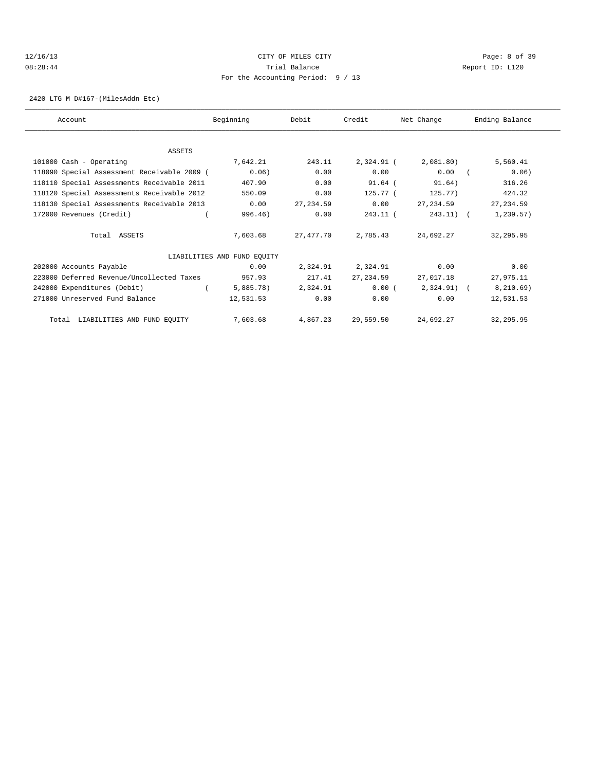## 12/16/13 CITY OF MILES CITY Page: 8 of 39 08:28:44 Trial Balance Report ID: L120 For the Accounting Period: 9 / 13

2420 LTG M D#167-(MilesAddn Etc)

| Account                                     | Beginning                   | Debit       | Credit     | Net Change   | Ending Balance |
|---------------------------------------------|-----------------------------|-------------|------------|--------------|----------------|
|                                             |                             |             |            |              |                |
| ASSETS                                      |                             |             |            |              |                |
| 101000 Cash - Operating                     | 7,642.21                    | 243.11      | 2,324.91 ( | 2,081.80)    | 5,560.41       |
| 118090 Special Assessment Receivable 2009 ( | 0.06)                       | 0.00        | 0.00       | 0.00         | 0.06)          |
| 118110 Special Assessments Receivable 2011  | 407.90                      | 0.00        | $91.64$ (  | 91.64)       | 316.26         |
| 118120 Special Assessments Receivable 2012  | 550.09                      | 0.00        | 125.77 (   | 125.77)      | 424.32         |
| 118130 Special Assessments Receivable 2013  | 0.00                        | 27, 234, 59 | 0.00       | 27,234.59    | 27, 234.59     |
| 172000 Revenues (Credit)                    | 996.46)                     | 0.00        | 243.11 (   | $243.11)$ (  | 1, 239.57)     |
| Total ASSETS                                | 7,603.68                    | 27,477.70   | 2,785.43   | 24,692.27    | 32,295.95      |
|                                             | LIABILITIES AND FUND EQUITY |             |            |              |                |
| 202000 Accounts Payable                     | 0.00                        | 2,324.91    | 2,324.91   | 0.00         | 0.00           |
| 223000 Deferred Revenue/Uncollected Taxes   | 957.93                      | 217.41      | 27, 234.59 | 27,017.18    | 27,975.11      |
| 242000 Expenditures (Debit)                 | $5,885.78$ )                | 2,324.91    | 0.00(      | $2,324.91$ ( | 8, 210.69)     |
| 271000 Unreserved Fund Balance              | 12,531.53                   | 0.00        | 0.00       | 0.00         | 12,531.53      |
| Total LIABILITIES AND FUND EQUITY           | 7,603.68                    | 4,867.23    | 29,559.50  | 24,692.27    | 32,295.95      |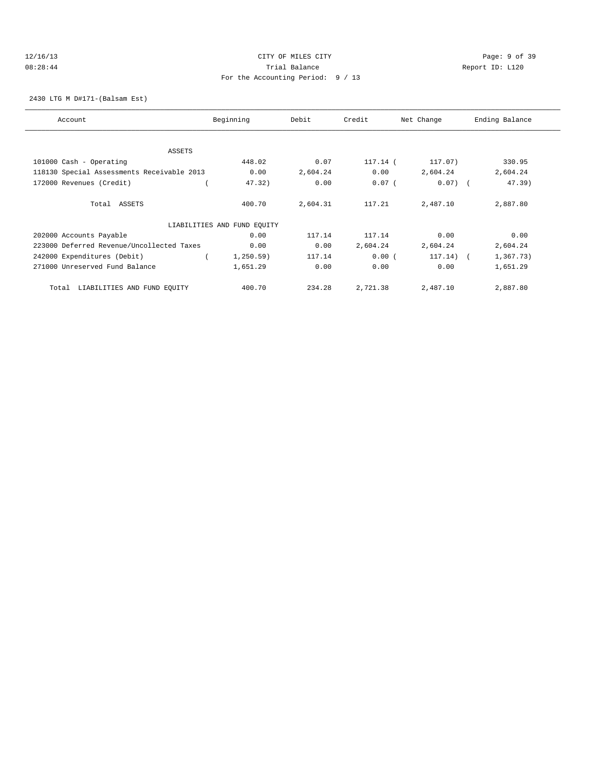## 12/16/13 CITY OF MILES CITY Page: 9 of 39 08:28:44 Trial Balance Report ID: L120 For the Accounting Period: 9 / 13

2430 LTG M D#171-(Balsam Est)

| Account                                    | Beginning                   | Debit    | Credit   | Net Change  | Ending Balance |
|--------------------------------------------|-----------------------------|----------|----------|-------------|----------------|
|                                            |                             |          |          |             |                |
| ASSETS                                     |                             |          |          |             |                |
| 101000 Cash - Operating                    | 448.02                      | 0.07     | 117.14 ( | 117.07)     | 330.95         |
| 118130 Special Assessments Receivable 2013 | 0.00                        | 2,604.24 | 0.00     | 2,604.24    | 2,604.24       |
| 172000 Revenues (Credit)                   | 47.32)                      | 0.00     | $0.07$ ( | $0.07)$ (   | $47.39$ )      |
| Total ASSETS                               | 400.70                      | 2,604.31 | 117.21   | 2,487.10    | 2,887.80       |
|                                            | LIABILITIES AND FUND EQUITY |          |          |             |                |
| 202000 Accounts Payable                    | 0.00                        | 117.14   | 117.14   | 0.00        | 0.00           |
| 223000 Deferred Revenue/Uncollected Taxes  | 0.00                        | 0.00     | 2,604.24 | 2,604.24    | 2,604.24       |
| 242000 Expenditures (Debit)                | 1, 250.59)                  | 117.14   | 0.00(    | $117.14)$ ( | 1, 367.73)     |
| 271000 Unreserved Fund Balance             | 1,651.29                    | 0.00     | 0.00     | 0.00        | 1,651.29       |
| LIABILITIES AND FUND EQUITY<br>Total       | 400.70                      | 234.28   | 2,721.38 | 2,487.10    | 2,887.80       |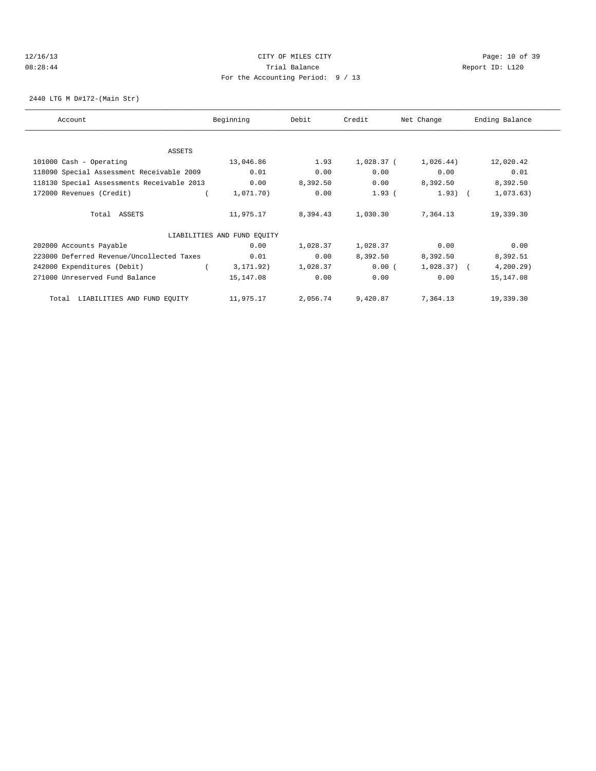## 12/16/13 Page: 10 of 39 08:28:44 Trial Balance Report ID: L120 For the Accounting Period: 9 / 13

2440 LTG M D#172-(Main Str)

| Account                                    | Beginning                   | Debit    | Credit       | Net Change   | Ending Balance |
|--------------------------------------------|-----------------------------|----------|--------------|--------------|----------------|
|                                            |                             |          |              |              |                |
| ASSETS                                     |                             |          |              |              |                |
| 101000 Cash - Operating                    | 13,046.86                   | 1.93     | $1,028.37$ ( | 1,026.44)    | 12,020.42      |
| 118090 Special Assessment Receivable 2009  | 0.01                        | 0.00     | 0.00         | 0.00         | 0.01           |
| 118130 Special Assessments Receivable 2013 | 0.00                        | 8,392.50 | 0.00         | 8,392.50     | 8,392.50       |
| 172000 Revenues (Credit)                   | 1,071.70)                   | 0.00     | $1.93$ (     | $1.93)$ (    | 1,073.63)      |
| Total ASSETS                               | 11,975.17                   | 8,394.43 | 1,030.30     | 7,364.13     | 19,339.30      |
|                                            | LIABILITIES AND FUND EQUITY |          |              |              |                |
| 202000 Accounts Payable                    | 0.00                        | 1,028.37 | 1,028.37     | 0.00         | 0.00           |
| 223000 Deferred Revenue/Uncollected Taxes  | 0.01                        | 0.00     | 8,392.50     | 8,392.50     | 8,392.51       |
| 242000 Expenditures (Debit)                | 3, 171.92)                  | 1,028.37 | 0.00(        | $1,028.37$ ( | 4, 200.29      |
| 271000 Unreserved Fund Balance             | 15,147.08                   | 0.00     | 0.00         | 0.00         | 15,147.08      |
| LIABILITIES AND FUND EQUITY<br>Total       | 11,975.17                   | 2,056.74 | 9,420.87     | 7,364.13     | 19,339.30      |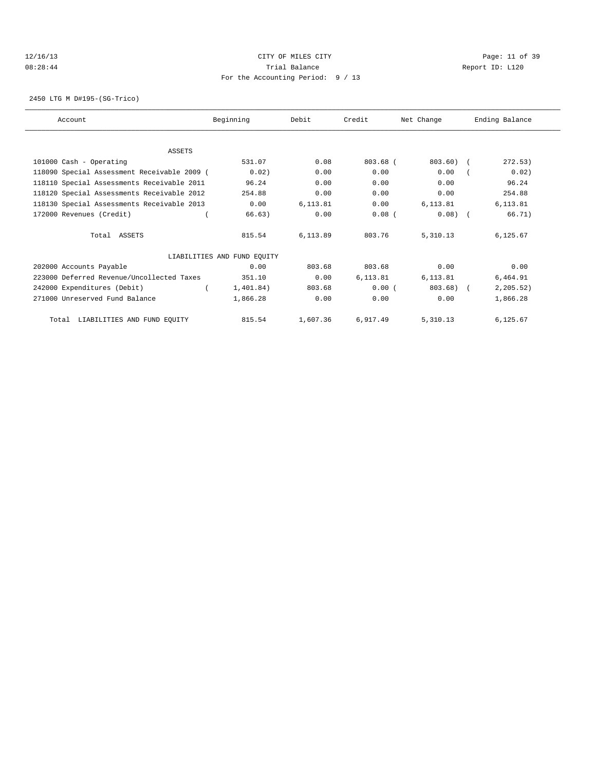## 12/16/13 Page: 11 of 39 08:28:44 Trial Balance Report ID: L120 For the Accounting Period: 9 / 13

2450 LTG M D#195-(SG-Trico)

| Account                                     | Beginning                   | Debit    | Credit     | Net Change | Ending Balance |
|---------------------------------------------|-----------------------------|----------|------------|------------|----------------|
|                                             |                             |          |            |            |                |
| <b>ASSETS</b>                               |                             |          |            |            |                |
| 101000 Cash - Operating                     | 531.07                      | 0.08     | $803.68$ ( | $803.60$ ( | 272.53)        |
| 118090 Special Assessment Receivable 2009 ( | 0.02)                       | 0.00     | 0.00       | 0.00       | 0.02)          |
| 118110 Special Assessments Receivable 2011  | 96.24                       | 0.00     | 0.00       | 0.00       | 96.24          |
| 118120 Special Assessments Receivable 2012  | 254.88                      | 0.00     | 0.00       | 0.00       | 254.88         |
| 118130 Special Assessments Receivable 2013  | 0.00                        | 6.113.81 | 0.00       | 6, 113.81  | 6,113.81       |
| 172000 Revenues (Credit)                    | 66.63)                      | 0.00     | $0.08$ (   | $0.08$ $($ | 66.71)         |
| Total ASSETS                                | 815.54                      | 6,113.89 | 803.76     | 5,310.13   | 6,125.67       |
|                                             | LIABILITIES AND FUND EQUITY |          |            |            |                |
| 202000 Accounts Payable                     | 0.00                        | 803.68   | 803.68     | 0.00       | 0.00           |
| 223000 Deferred Revenue/Uncollected Taxes   | 351.10                      | 0.00     | 6,113.81   | 6,113.81   | 6,464.91       |
| 242000 Expenditures (Debit)                 | 1,401.84)                   | 803.68   | 0.00(      | $803.68$ ) | 2, 205.52)     |
| 271000 Unreserved Fund Balance              | 1,866.28                    | 0.00     | 0.00       | 0.00       | 1,866.28       |
| Total LIABILITIES AND FUND EQUITY           | 815.54                      | 1,607.36 | 6,917.49   | 5,310.13   | 6,125.67       |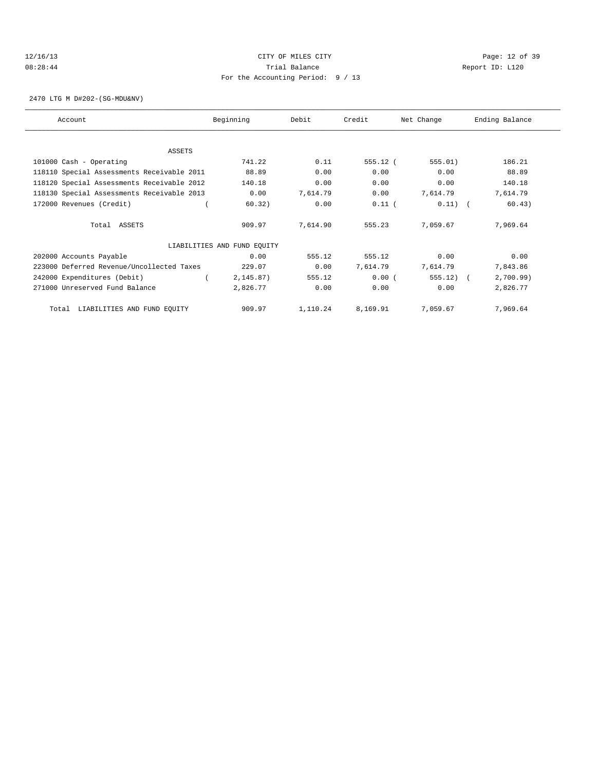## 12/16/13 Page: 12 of 39 08:28:44 Trial Balance Report ID: L120 For the Accounting Period: 9 / 13

2470 LTG M D#202-(SG-MDU&NV)

| Account                                    | Beginning                   | Debit    | Credit     | Net Change | Ending Balance |
|--------------------------------------------|-----------------------------|----------|------------|------------|----------------|
|                                            |                             |          |            |            |                |
| ASSETS                                     |                             |          |            |            |                |
| 101000 Cash - Operating                    | 741.22                      | 0.11     | $555.12$ ( | 555.01)    | 186.21         |
| 118110 Special Assessments Receivable 2011 | 88.89                       | 0.00     | 0.00       | 0.00       | 88.89          |
| 118120 Special Assessments Receivable 2012 | 140.18                      | 0.00     | 0.00       | 0.00       | 140.18         |
| 118130 Special Assessments Receivable 2013 | 0.00                        | 7,614.79 | 0.00       | 7,614.79   | 7,614.79       |
| 172000 Revenues (Credit)                   | 60.32)                      | 0.00     | $0.11$ (   | $0.11)$ (  | 60.43)         |
| Total ASSETS                               | 909.97                      | 7,614.90 | 555.23     | 7,059.67   | 7,969.64       |
|                                            | LIABILITIES AND FUND EQUITY |          |            |            |                |
| 202000 Accounts Payable                    | 0.00                        | 555.12   | 555.12     | 0.00       | 0.00           |
| 223000 Deferred Revenue/Uncollected Taxes  | 229.07                      | 0.00     | 7,614.79   | 7,614.79   | 7,843.86       |
| 242000 Expenditures (Debit)                | 2, 145.87)                  | 555.12   | 0.00(      | 555.12)    | 2,700.99)      |
| 271000 Unreserved Fund Balance             | 2,826.77                    | 0.00     | 0.00       | 0.00       | 2,826.77       |
| LIABILITIES AND FUND EQUITY<br>Total       | 909.97                      | 1,110.24 | 8,169.91   | 7,059.67   | 7,969.64       |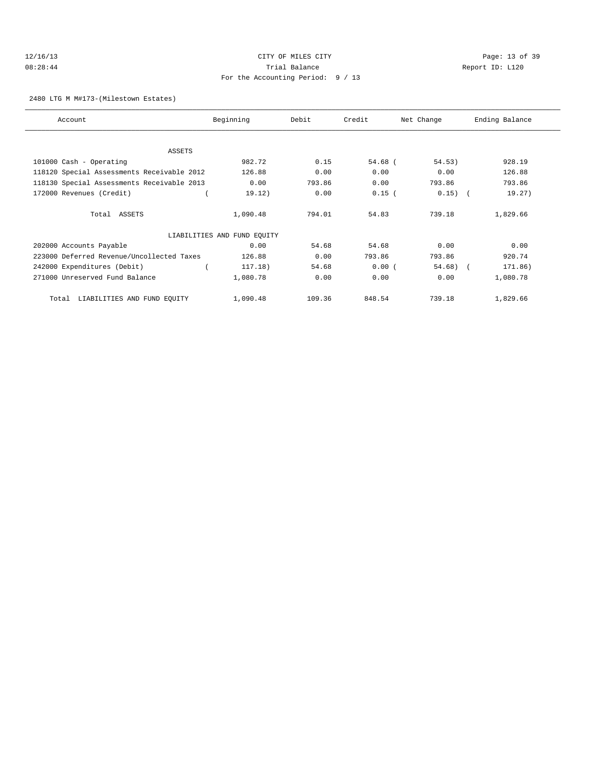## 12/16/13 Page: 13 of 39 08:28:44 Trial Balance Report ID: L120 For the Accounting Period: 9 / 13

#### 2480 LTG M M#173-(Milestown Estates)

| Account                                    | Beginning                   | Debit  | Credit    | Net Change | Ending Balance |
|--------------------------------------------|-----------------------------|--------|-----------|------------|----------------|
|                                            |                             |        |           |            |                |
| ASSETS<br>101000 Cash - Operating          | 982.72                      | 0.15   | $54.68$ ( | 54.53)     | 928.19         |
| 118120 Special Assessments Receivable 2012 | 126.88                      | 0.00   | 0.00      | 0.00       | 126.88         |
|                                            | 0.00                        | 793.86 | 0.00      | 793.86     | 793.86         |
| 118130 Special Assessments Receivable 2013 |                             |        |           |            |                |
| 172000 Revenues (Credit)                   | 19.12)                      | 0.00   | $0.15$ (  | $0.15)$ (  | 19.27)         |
| Total ASSETS                               | 1,090.48                    | 794.01 | 54.83     | 739.18     | 1,829.66       |
|                                            | LIABILITIES AND FUND EQUITY |        |           |            |                |
| 202000 Accounts Payable                    | 0.00                        | 54.68  | 54.68     | 0.00       | 0.00           |
| 223000 Deferred Revenue/Uncollected Taxes  | 126.88                      | 0.00   | 793.86    | 793.86     | 920.74         |
| 242000 Expenditures (Debit)                | 117.18)                     | 54.68  | 0.00(     | $54.68$ (  | 171.86)        |
| 271000 Unreserved Fund Balance             | 1,080.78                    | 0.00   | 0.00      | 0.00       | 1,080.78       |
| LIABILITIES AND FUND EOUITY<br>Total       | 1,090.48                    | 109.36 | 848.54    | 739.18     | 1,829.66       |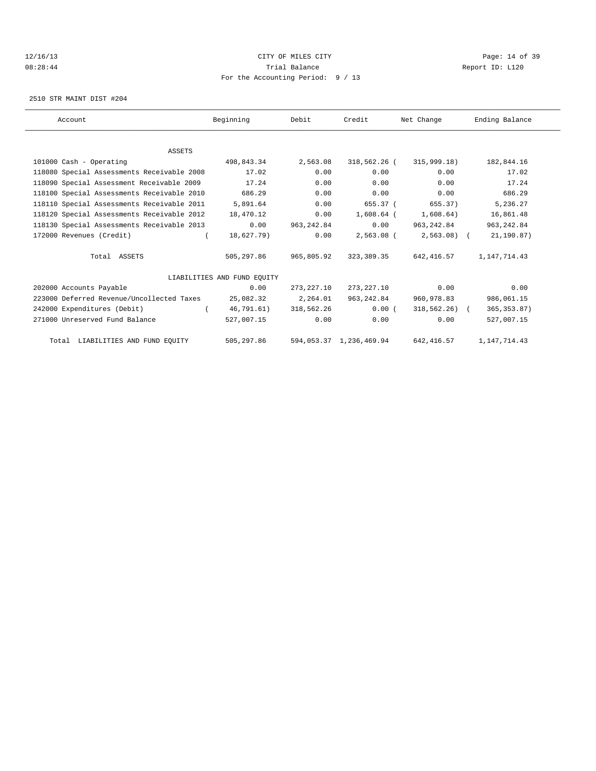## 12/16/13 Page: 14 of 39 08:28:44 Trial Balance Report ID: L120 For the Accounting Period: 9 / 13

2510 STR MAINT DIST #204

| Account                                    | Beginning                   | Debit       | Credit                  | Net Change     | Ending Balance |  |
|--------------------------------------------|-----------------------------|-------------|-------------------------|----------------|----------------|--|
|                                            |                             |             |                         |                |                |  |
| <b>ASSETS</b>                              |                             |             |                         |                |                |  |
| 101000 Cash - Operating                    | 498,843.34                  | 2,563.08    | 318,562.26 (            | 315,999.18)    | 182,844.16     |  |
| 118080 Special Assessments Receivable 2008 | 17.02                       | 0.00        | 0.00                    | 0.00           | 17.02          |  |
| 118090 Special Assessment Receivable 2009  | 17.24                       | 0.00        | 0.00                    | 0.00           | 17.24          |  |
| 118100 Special Assessments Receivable 2010 | 686.29                      | 0.00        | 0.00                    | 0.00           | 686.29         |  |
| 118110 Special Assessments Receivable 2011 | 5,891.64                    | 0.00        | 655.37 (                | 655.37)        | 5,236.27       |  |
| 118120 Special Assessments Receivable 2012 | 18,470.12                   | 0.00        | 1,608.64 (              | 1,608.64)      | 16,861.48      |  |
| 118130 Special Assessments Receivable 2013 | 0.00                        | 963, 242.84 | 0.00                    | 963,242.84     | 963, 242.84    |  |
| 172000 Revenues (Credit)                   | 18,627.79)                  | 0.00        | 2,563.08 (              | $2,563.08$ (   | 21,190.87)     |  |
| Total ASSETS                               | 505,297.86                  | 965,805.92  | 323,389.35              | 642,416.57     | 1,147,714.43   |  |
|                                            | LIABILITIES AND FUND EOUITY |             |                         |                |                |  |
| 202000 Accounts Payable                    | 0.00                        | 273,227.10  | 273,227.10              | 0.00           | 0.00           |  |
| 223000 Deferred Revenue/Uncollected Taxes  | 25,082.32                   | 2,264.01    | 963,242.84              | 960,978.83     | 986,061.15     |  |
| 242000 Expenditures (Debit)                | 46,791.61)                  | 318,562.26  | 0.00(                   | $318,562,26$ ( | 365, 353.87)   |  |
| 271000 Unreserved Fund Balance             | 527,007.15                  | 0.00        | 0.00                    | 0.00           | 527,007.15     |  |
| Total LIABILITIES AND FUND EQUITY          | 505,297.86                  |             | 594,053.37 1,236,469.94 | 642, 416.57    | 1, 147, 714.43 |  |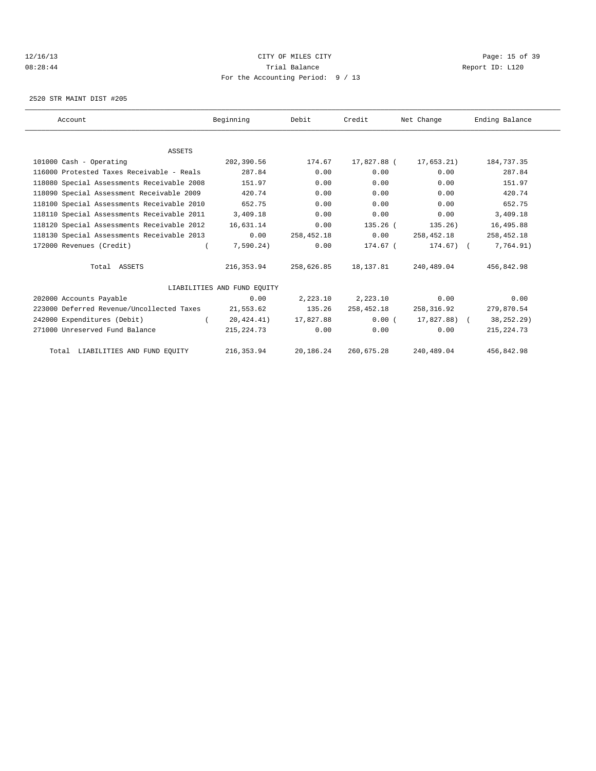## 12/16/13 Page: 15 of 39 08:28:44 Trial Balance Report ID: L120 For the Accounting Period: 9 / 13

2520 STR MAINT DIST #205

| Account                                    | Beginning                   | Debit      | Credit      | Net Change   | Ending Balance |
|--------------------------------------------|-----------------------------|------------|-------------|--------------|----------------|
|                                            |                             |            |             |              |                |
| <b>ASSETS</b>                              |                             |            |             |              |                |
| 101000 Cash - Operating                    | 202,390.56                  | 174.67     | 17,827.88 ( | 17,653.21)   | 184,737.35     |
| 116000 Protested Taxes Receivable - Reals  | 287.84                      | 0.00       | 0.00        | 0.00         | 287.84         |
| 118080 Special Assessments Receivable 2008 | 151.97                      | 0.00       | 0.00        | 0.00         | 151.97         |
| 118090 Special Assessment Receivable 2009  | 420.74                      | 0.00       | 0.00        | 0.00         | 420.74         |
| 118100 Special Assessments Receivable 2010 | 652.75                      | 0.00       | 0.00        | 0.00         | 652.75         |
| 118110 Special Assessments Receivable 2011 | 3,409.18                    | 0.00       | 0.00        | 0.00         | 3,409.18       |
| 118120 Special Assessments Receivable 2012 | 16,631.14                   | 0.00       | $135.26$ (  | 135.26)      | 16,495.88      |
| 118130 Special Assessments Receivable 2013 | 0.00                        | 258,452.18 | 0.00        | 258,452.18   | 258,452.18     |
| 172000 Revenues (Credit)                   | 7,590.24)                   | 0.00       | $174.67$ (  | $174.67$ ) ( | 7,764.91)      |
| Total ASSETS                               | 216,353.94                  | 258,626.85 | 18,137.81   | 240,489.04   | 456,842.98     |
|                                            | LIABILITIES AND FUND EOUITY |            |             |              |                |
| 202000 Accounts Payable                    | 0.00                        | 2,223.10   | 2,223.10    | 0.00         | 0.00           |
| 223000 Deferred Revenue/Uncollected Taxes  | 21,553.62                   | 135.26     | 258,452.18  | 258,316.92   | 279,870.54     |
| 242000 Expenditures (Debit)                | 20,424.41)                  | 17,827.88  | 0.00(       | 17,827.88) ( | 38, 252. 29)   |
| 271000 Unreserved Fund Balance             | 215, 224. 73                | 0.00       | 0.00        | 0.00         | 215, 224.73    |
| Total LIABILITIES AND FUND EQUITY          | 216, 353.94                 | 20,186.24  | 260,675.28  | 240,489.04   | 456,842.98     |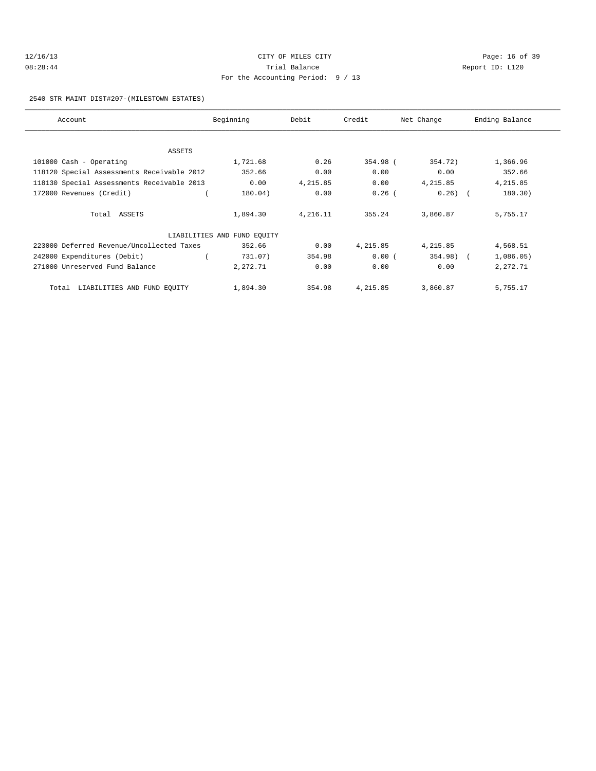| 12/16/13 | CITY OF MILES CITY                  |    |
|----------|-------------------------------------|----|
| 08:28:44 | Trial Balance                       | Re |
|          | For the Accounting Period: $9 / 13$ |    |

Page: 16 of 39 eport ID: L120

## 2540 STR MAINT DIST#207-(MILESTOWN ESTATES)

| Account                                    | Beginning                   | Debit    | Credit   | Net Change | Ending Balance |
|--------------------------------------------|-----------------------------|----------|----------|------------|----------------|
|                                            |                             |          |          |            |                |
| ASSETS                                     |                             |          |          |            |                |
| 101000 Cash - Operating                    | 1,721.68                    | 0.26     | 354.98 ( | 354.72)    | 1,366.96       |
| 118120 Special Assessments Receivable 2012 | 352.66                      | 0.00     | 0.00     | 0.00       | 352.66         |
| 118130 Special Assessments Receivable 2013 | 0.00                        | 4,215.85 | 0.00     | 4,215.85   | 4,215.85       |
| 172000 Revenues (Credit)                   | 180.04)                     | 0.00     | $0.26$ ( | $0.26)$ (  | 180.30)        |
| Total ASSETS                               | 1,894.30                    | 4,216.11 | 355.24   | 3,860.87   | 5,755.17       |
|                                            | LIABILITIES AND FUND EQUITY |          |          |            |                |
| 223000 Deferred Revenue/Uncollected Taxes  | 352.66                      | 0.00     | 4,215.85 | 4,215.85   | 4,568.51       |
| 242000 Expenditures (Debit)                | 731.07)                     | 354.98   | 0.00(    | $354.98$ ( | 1,086.05)      |
| 271000 Unreserved Fund Balance             | 2,272.71                    | 0.00     | 0.00     | 0.00       | 2,272.71       |
| LIABILITIES AND FUND EQUITY<br>Total       | 1,894.30                    | 354.98   | 4,215.85 | 3,860.87   | 5,755.17       |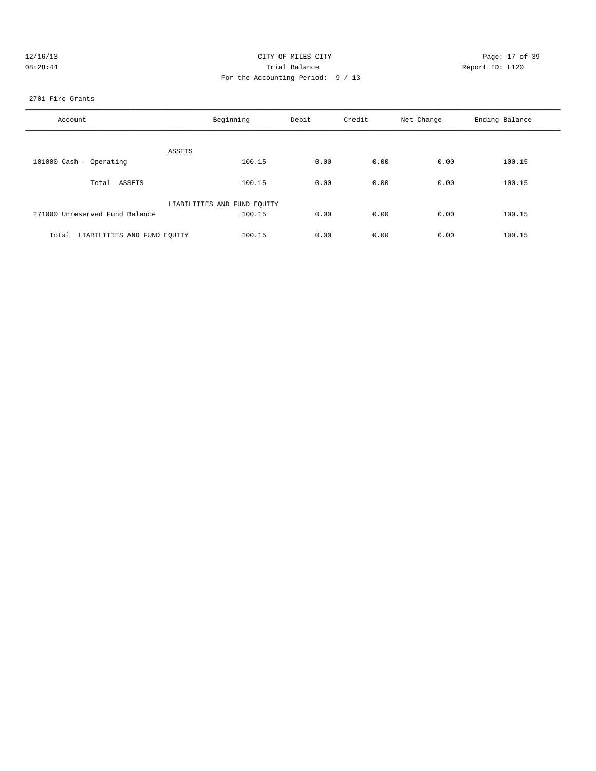| 12/16/13 | CITY OF MILES CITY                | Page: 17 of 39  |
|----------|-----------------------------------|-----------------|
| 08:28:44 | Trial Balance                     | Report ID: L120 |
|          | For the Accounting Period: 9 / 13 |                 |
|          |                                   |                 |

#### 2701 Fire Grants

| Account                           | Beginning                   | Debit | Credit | Net Change | Ending Balance |
|-----------------------------------|-----------------------------|-------|--------|------------|----------------|
| ASSETS                            |                             |       |        |            |                |
| 101000 Cash - Operating           | 100.15                      | 0.00  | 0.00   | 0.00       | 100.15         |
| Total ASSETS                      | 100.15                      | 0.00  | 0.00   | 0.00       | 100.15         |
|                                   | LIABILITIES AND FUND EQUITY |       |        |            |                |
| 271000 Unreserved Fund Balance    | 100.15                      | 0.00  | 0.00   | 0.00       | 100.15         |
| Total LIABILITIES AND FUND EQUITY | 100.15                      | 0.00  | 0.00   | 0.00       | 100.15         |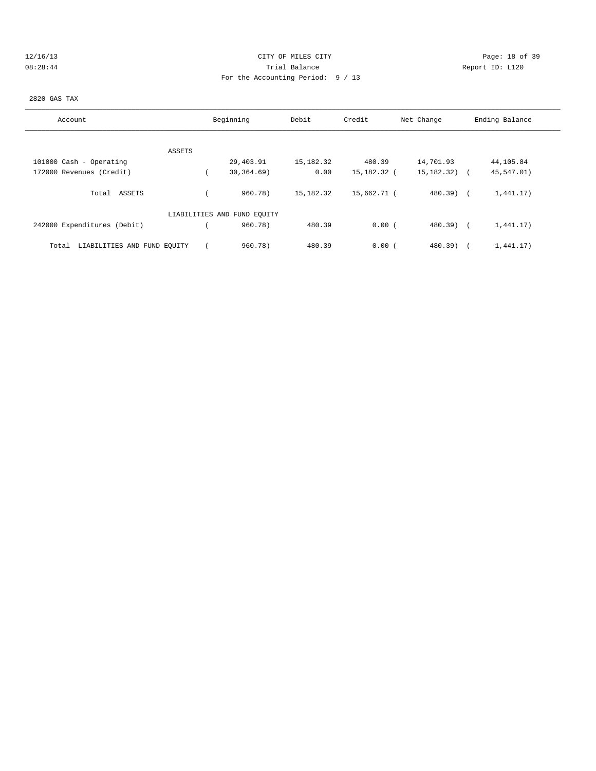| 12/16/13 |
|----------|
| 00.20.11 |

# Page: 18 of 39 08:28:44 Trial Balance Report ID: L120 For the Accounting Period: 9 / 13

## 2820 GAS TAX

| Account                              | Beginning                   | Debit       | Credit      | Net Change       | Ending Balance |
|--------------------------------------|-----------------------------|-------------|-------------|------------------|----------------|
|                                      |                             |             |             |                  |                |
| ASSETS                               |                             |             |             |                  |                |
| 101000 Cash - Operating              | 29,403.91                   | 15,182.32   | 480.39      | 14,701.93        | 44,105.84      |
| 172000 Revenues (Credit)             | 30, 364.69)                 | 0.00        | 15,182.32 ( | $15, 182, 32)$ ( | 45,547.01)     |
| Total ASSETS                         | 960.78)                     | 15, 182. 32 | 15,662.71 ( | $480.39$ $($     | 1,441.17)      |
|                                      | LIABILITIES AND FUND EQUITY |             |             |                  |                |
| 242000 Expenditures (Debit)          | 960.78)                     | 480.39      | 0.00(       | $480.39$ $($     | 1,441.17)      |
| LIABILITIES AND FUND EQUITY<br>Total | 960.78)                     | 480.39      | 0.00(       | $480.39$ )       | 1,441.17)      |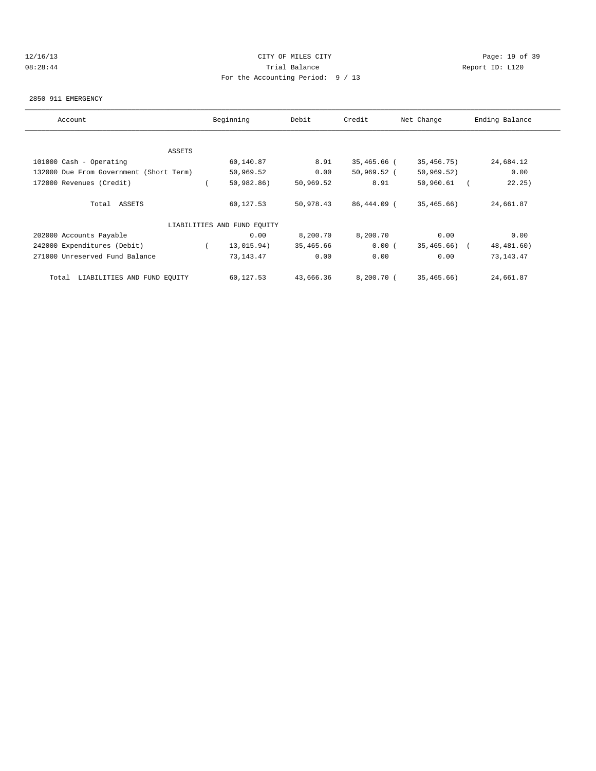## 12/16/13 Page: 19 of 39 08:28:44 Trial Balance Report ID: L120 For the Accounting Period: 9 / 13

#### 2850 911 EMERGENCY

| Account                                 | Beginning                   | Debit     | Credit        | Net Change   | Ending Balance |
|-----------------------------------------|-----------------------------|-----------|---------------|--------------|----------------|
|                                         |                             |           |               |              |                |
| ASSETS                                  |                             |           |               |              |                |
| 101000 Cash - Operating                 | 60,140.87                   | 8.91      | 35,465.66 (   | 35,456.75)   | 24,684.12      |
| 132000 Due From Government (Short Term) | 50,969.52                   | 0.00      | $50,969.52$ ( | 50, 969.52)  | 0.00           |
| 172000 Revenues (Credit)                | 50,982.86)                  | 50,969.52 | 8.91          | 50,960.61    | 22.25)         |
| Total ASSETS                            | 60,127.53                   | 50,978.43 | 86,444.09 (   | 35,465.66    | 24,661.87      |
|                                         | LIABILITIES AND FUND EQUITY |           |               |              |                |
| 202000 Accounts Payable                 | 0.00                        | 8,200.70  | 8,200.70      | 0.00         | 0.00           |
| 242000 Expenditures (Debit)             | 13,015.94)                  | 35,465.66 | 0.00(         | 35,465.66) ( | 48,481.60)     |
| 271000 Unreserved Fund Balance          | 73,143.47                   | 0.00      | 0.00          | 0.00         | 73, 143. 47    |
| LIABILITIES AND FUND EQUITY<br>Total    | 60,127.53                   | 43,666.36 | 8,200.70 (    | 35,465.66)   | 24,661.87      |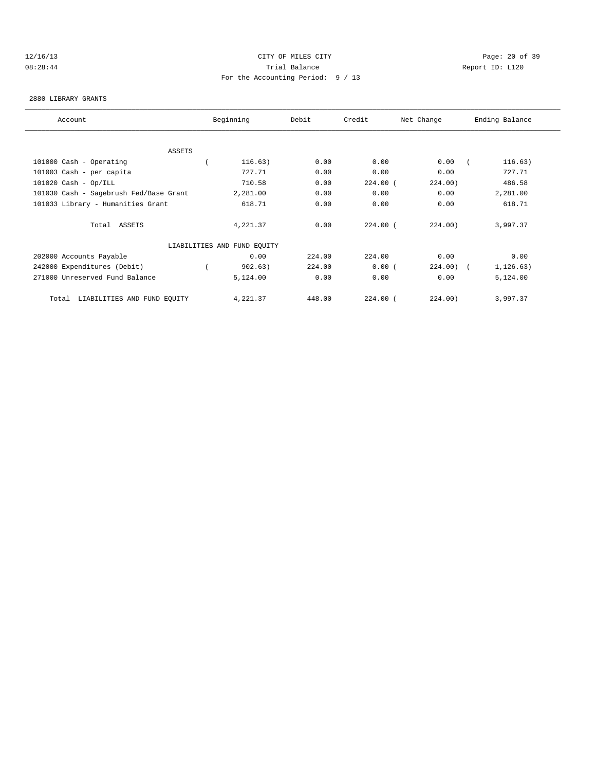## 12/16/13 Page: 20 of 39 08:28:44 Trial Balance Report ID: L120 For the Accounting Period: 9 / 13

#### 2880 LIBRARY GRANTS

| Account                                | Beginning                   | Debit  | Credit     | Net Change   | Ending Balance |
|----------------------------------------|-----------------------------|--------|------------|--------------|----------------|
|                                        |                             |        |            |              |                |
| ASSETS                                 |                             |        |            |              |                |
| 101000 Cash - Operating                | 116.63)                     | 0.00   | 0.00       | 0.00         | 116.63)        |
| 101003 Cash - per capita               | 727.71                      | 0.00   | 0.00       | 0.00         | 727.71         |
| $101020$ Cash - Op/ILL                 | 710.58                      | 0.00   | $224.00$ ( | 224.00)      | 486.58         |
| 101030 Cash - Sagebrush Fed/Base Grant | 2,281.00                    | 0.00   | 0.00       | 0.00         | 2,281.00       |
| 101033 Library - Humanities Grant      | 618.71                      | 0.00   | 0.00       | 0.00         | 618.71         |
| Total ASSETS                           | 4,221.37                    | 0.00   | $224.00$ ( | 224.00)      | 3,997.37       |
|                                        | LIABILITIES AND FUND EQUITY |        |            |              |                |
| 202000 Accounts Payable                | 0.00                        | 224.00 | 224.00     | 0.00         | 0.00           |
| 242000 Expenditures (Debit)            | 902.63)                     | 224.00 | 0.00(      | $224.00$ ) ( | 1, 126.63)     |
| 271000 Unreserved Fund Balance         | 5,124.00                    | 0.00   | 0.00       | 0.00         | 5,124.00       |
| LIABILITIES AND FUND EQUITY<br>Total   | 4,221.37                    | 448.00 | $224.00$ ( | 224.00)      | 3,997.37       |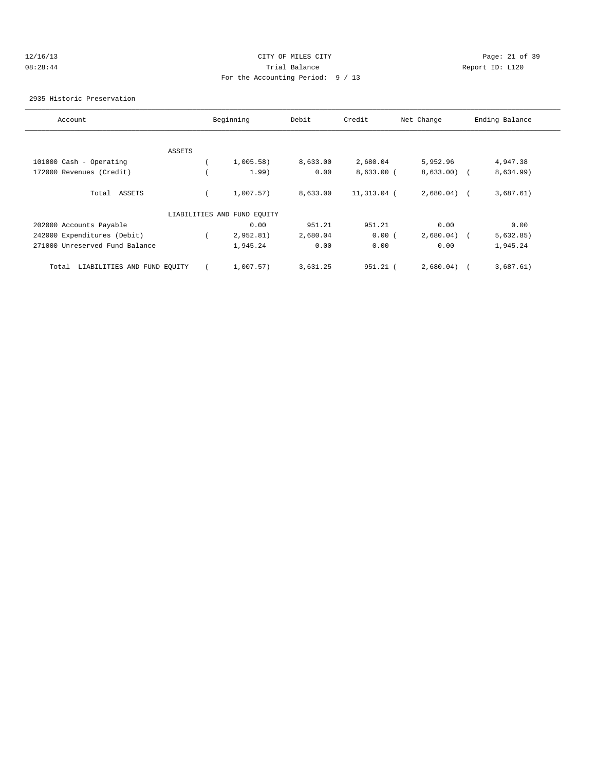## 12/16/13 Page: 21 of 39 08:28:44 Trial Balance Report ID: L120 For the Accounting Period: 9 / 13

#### 2935 Historic Preservation

| Account                              |        | Beginning                   | Debit    | Credit       | Net Change   | Ending Balance |
|--------------------------------------|--------|-----------------------------|----------|--------------|--------------|----------------|
|                                      |        |                             |          |              |              |                |
|                                      | ASSETS |                             |          |              |              |                |
| 101000 Cash - Operating              |        | 1,005.58)                   | 8,633.00 | 2,680.04     | 5,952.96     | 4,947.38       |
| 172000 Revenues (Credit)             |        | 1.99)                       | 0.00     | $8,633.00$ ( | $8,633.00$ ( | 8,634.99)      |
| Total ASSETS                         |        | 1,007.57)                   | 8,633.00 | 11,313.04 (  | $2,680.04$ ( | 3,687.61)      |
|                                      |        | LIABILITIES AND FUND EQUITY |          |              |              |                |
| 202000 Accounts Payable              |        | 0.00                        | 951.21   | 951.21       | 0.00         | 0.00           |
| 242000 Expenditures (Debit)          |        | 2,952.81)                   | 2,680.04 | 0.00(        | 2,680.04)    | 5,632.85)      |
| 271000 Unreserved Fund Balance       |        | 1,945.24                    | 0.00     | 0.00         | 0.00         | 1,945.24       |
| LIABILITIES AND FUND EQUITY<br>Total |        | 1,007.57)                   | 3,631.25 | $951.21$ (   | 2,680.04)    | 3,687.61)      |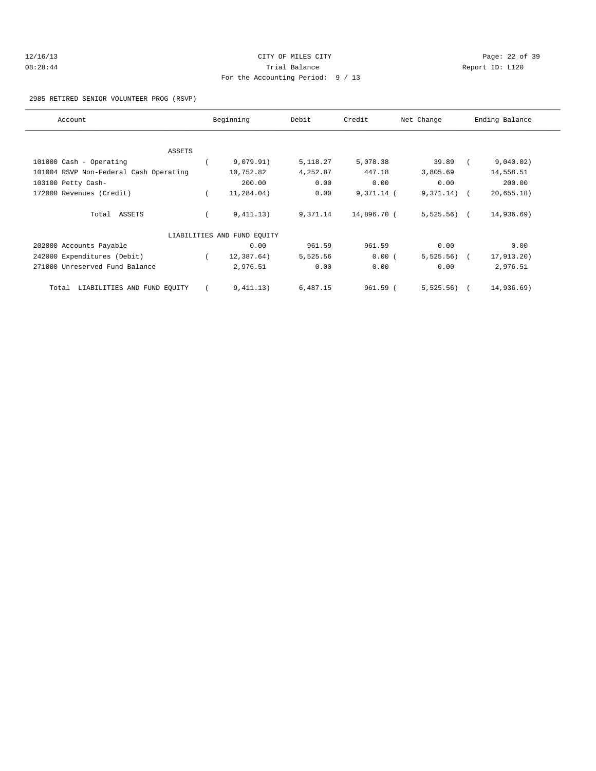| 12/16/13 | CITY OF MILES CITY                  |     |
|----------|-------------------------------------|-----|
| 08:28:44 | Trial Balance                       | Rep |
|          | For the Accounting Period: $9 / 13$ |     |

#### Page: 22 of 39 oort ID: L120

# 2985 RETIRED SENIOR VOLUNTEER PROG (RSVP)

| Account                                | Beginning                   | Debit    | Credit      | Net Change    | Ending Balance |  |
|----------------------------------------|-----------------------------|----------|-------------|---------------|----------------|--|
|                                        |                             |          |             |               |                |  |
| ASSETS                                 |                             |          |             |               |                |  |
| 101000 Cash - Operating                | 9,079.91)                   | 5,118.27 | 5,078.38    | 39.89         | 9,040.02)      |  |
| 101004 RSVP Non-Federal Cash Operating | 10,752.82                   | 4,252.87 | 447.18      | 3,805.69      | 14,558.51      |  |
| 103100 Petty Cash-                     | 200.00                      | 0.00     | 0.00        | 0.00          | 200.00         |  |
| 172000 Revenues (Credit)               | 11,284.04)                  | 0.00     | 9,371.14 (  | $9,371.14)$ ( | 20,655.18)     |  |
| Total ASSETS                           | 9,411.13)                   | 9,371.14 | 14,896.70 ( | $5,525.56$ (  | 14,936.69)     |  |
|                                        | LIABILITIES AND FUND EQUITY |          |             |               |                |  |
| 202000 Accounts Payable                | 0.00                        | 961.59   | 961.59      | 0.00          | 0.00           |  |
| 242000 Expenditures (Debit)            | 12,387.64)                  | 5,525.56 | 0.00(       | $5,525.56$ (  | 17,913.20)     |  |
| 271000 Unreserved Fund Balance         | 2,976.51                    | 0.00     | 0.00        | 0.00          | 2,976.51       |  |
| LIABILITIES AND FUND EQUITY<br>Total   | 9,411.13)                   | 6,487.15 | 961.59 (    | $5,525.56$ (  | 14,936.69)     |  |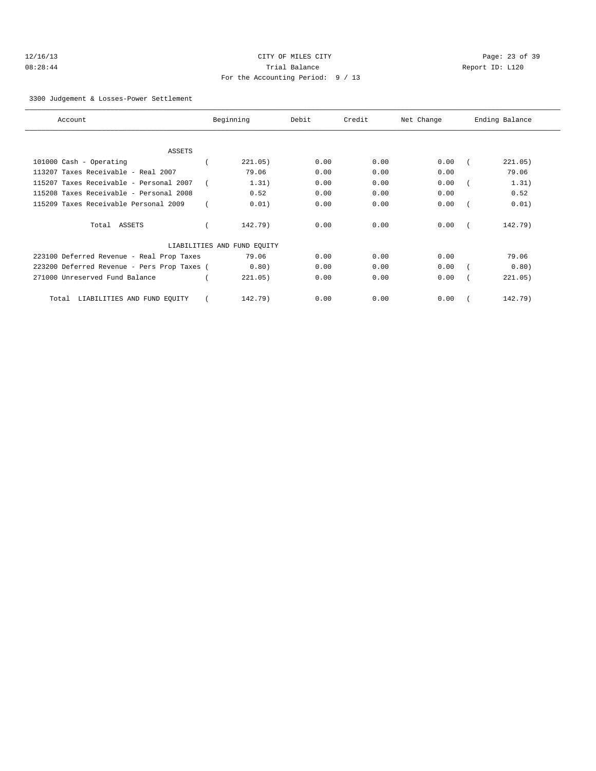| 12/16/13 |  |
|----------|--|
| 08:28:44 |  |

# Page: 23 of 39 Trial Balance and Communicated Report ID: L120 For the Accounting Period: 9 / 13

#### 3300 Judgement & Losses-Power Settlement

| Account                                     | Beginning                   | Debit | Credit | Net Change | Ending Balance |
|---------------------------------------------|-----------------------------|-------|--------|------------|----------------|
|                                             |                             |       |        |            |                |
| <b>ASSETS</b>                               |                             |       |        |            |                |
| 101000 Cash - Operating                     | 221.05)                     | 0.00  | 0.00   | 0.00       | 221.05)        |
| 113207 Taxes Receivable - Real 2007         | 79.06                       | 0.00  | 0.00   | 0.00       | 79.06          |
| 115207 Taxes Receivable - Personal 2007     | 1.31)                       | 0.00  | 0.00   | 0.00       | 1.31)          |
| 115208 Taxes Receivable - Personal 2008     | 0.52                        | 0.00  | 0.00   | 0.00       | 0.52           |
| 115209 Taxes Receivable Personal 2009       | 0.01)                       | 0.00  | 0.00   | 0.00       | 0.01)          |
| Total ASSETS                                | 142.79)                     | 0.00  | 0.00   | 0.00       | 142.79)        |
|                                             | LIABILITIES AND FUND EQUITY |       |        |            |                |
| 223100 Deferred Revenue - Real Prop Taxes   | 79.06                       | 0.00  | 0.00   | 0.00       | 79.06          |
| 223200 Deferred Revenue - Pers Prop Taxes ( | 0.80)                       | 0.00  | 0.00   | 0.00       | 0.80)          |
| 271000 Unreserved Fund Balance              | 221.05)                     | 0.00  | 0.00   | 0.00       | 221.05)        |
| LIABILITIES AND FUND EOUITY<br>Total        | 142.79)                     | 0.00  | 0.00   | 0.00       | 142.79)        |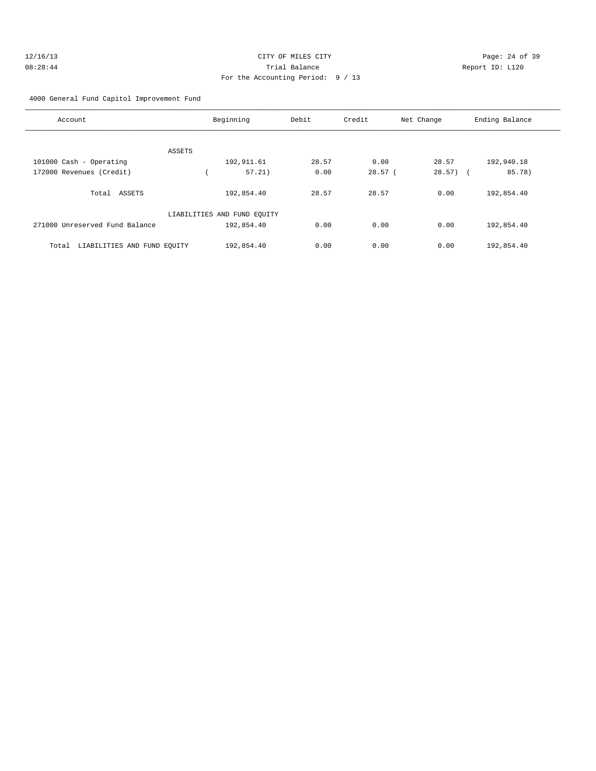| 12/16/13 | CITY OF MILES CITY                | Page: $24o$     |
|----------|-----------------------------------|-----------------|
| 08:28:44 | Trial Balance                     | Report ID: L120 |
|          | For the Accounting Period: 9 / 13 |                 |

age: 24 of 39

## 4000 General Fund Capitol Improvement Fund

| Account                              | Beginning                   | Debit | Credit | Net Change  | Ending Balance |
|--------------------------------------|-----------------------------|-------|--------|-------------|----------------|
|                                      |                             |       |        |             |                |
| ASSETS                               |                             |       |        |             |                |
| 101000 Cash - Operating              | 192,911.61                  | 28.57 | 0.00   | 28.57       | 192,940.18     |
| 172000 Revenues (Credit)             | 57.21)                      | 0.00  | 28.57( | $28.57$ ) ( | 85.78)         |
| ASSETS<br>Total                      | 192,854.40                  | 28.57 | 28.57  | 0.00        | 192,854.40     |
|                                      | LIABILITIES AND FUND EQUITY |       |        |             |                |
| 271000 Unreserved Fund Balance       | 192,854.40                  | 0.00  | 0.00   | 0.00        | 192,854.40     |
| LIABILITIES AND FUND EQUITY<br>Total | 192,854.40                  | 0.00  | 0.00   | 0.00        | 192,854.40     |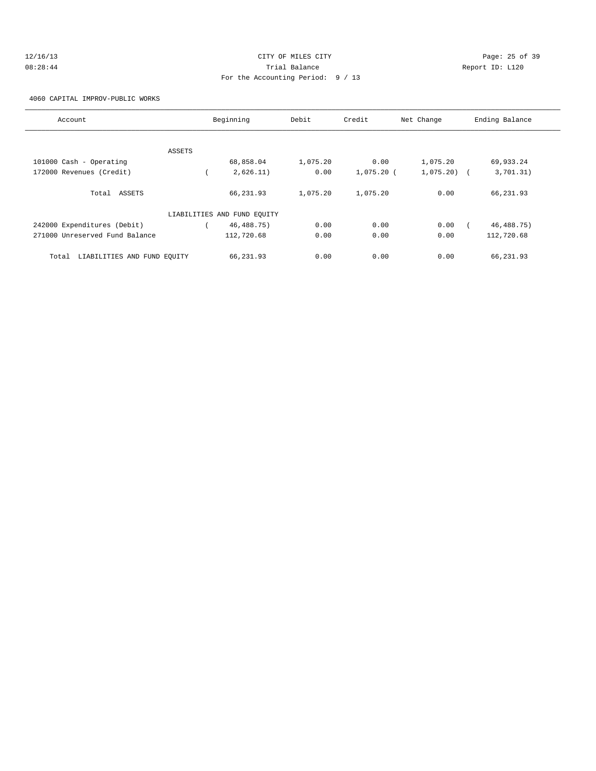| 12/16/13 | CITY OF MILES CITY                | Page: 25 of 39  |
|----------|-----------------------------------|-----------------|
| 08:28:44 | Trial Balance                     | Report ID: L120 |
|          | For the Accounting Period: 9 / 13 |                 |

4060 CAPITAL IMPROV-PUBLIC WORKS

| Account                              |        | Beginning                   | Debit    | Credit       | Net Change   | Ending Balance |
|--------------------------------------|--------|-----------------------------|----------|--------------|--------------|----------------|
|                                      |        |                             |          |              |              |                |
|                                      | ASSETS |                             |          |              |              |                |
| 101000 Cash - Operating              |        | 68,858.04                   | 1,075.20 | 0.00         | 1,075.20     | 69,933.24      |
| 172000 Revenues (Credit)             |        | 2,626.11)                   | 0.00     | $1,075.20$ ( | $1,075.20$ ( | 3,701.31)      |
| Total ASSETS                         |        | 66,231.93                   | 1,075.20 | 1,075.20     | 0.00         | 66,231.93      |
|                                      |        | LIABILITIES AND FUND EQUITY |          |              |              |                |
| 242000 Expenditures (Debit)          |        | 46, 488. 75)                | 0.00     | 0.00         | 0.00         | 46, 488. 75)   |
| 271000 Unreserved Fund Balance       |        | 112,720.68                  | 0.00     | 0.00         | 0.00         | 112,720.68     |
| LIABILITIES AND FUND EQUITY<br>Total |        | 66,231.93                   | 0.00     | 0.00         | 0.00         | 66, 231, 93    |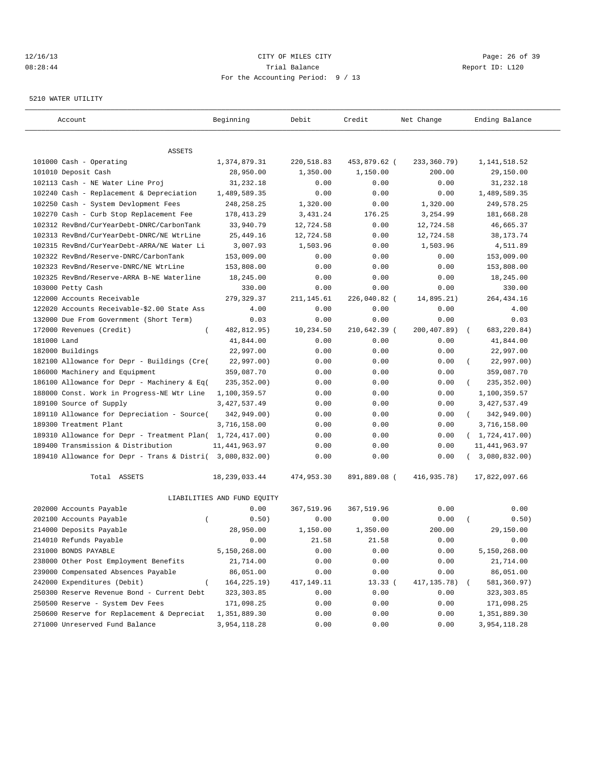## 12/16/13 Page: 26 of 39 08:28:44 Trial Balance Report ID: L120 For the Accounting Period: 9 / 13

#### 5210 WATER UTILITY

| Account                                                   | Beginning                   | Debit       | Credit       | Net Change  | Ending Balance             |
|-----------------------------------------------------------|-----------------------------|-------------|--------------|-------------|----------------------------|
|                                                           |                             |             |              |             |                            |
| ASSETS                                                    |                             |             |              |             |                            |
| 101000 Cash - Operating                                   | 1,374,879.31                | 220,518.83  | 453,879.62 ( | 233,360.79) | 1, 141, 518.52             |
| 101010 Deposit Cash                                       | 28,950.00                   | 1,350.00    | 1,150.00     | 200.00      | 29,150.00                  |
| 102113 Cash - NE Water Line Proj                          | 31,232.18                   | 0.00        | 0.00         | 0.00        | 31,232.18<br>1,489,589.35  |
| 102240 Cash - Replacement & Depreciation                  | 1,489,589.35                | 0.00        | 0.00         | 0.00        |                            |
| 102250 Cash - System Devlopment Fees                      | 248, 258. 25                | 1,320.00    | 0.00         | 1,320.00    | 249,578.25                 |
| 102270 Cash - Curb Stop Replacement Fee                   | 178, 413.29                 | 3,431.24    | 176.25       | 3,254.99    | 181,668.28                 |
| 102312 RevBnd/CurYearDebt-DNRC/CarbonTank                 | 33,940.79                   | 12,724.58   | 0.00         | 12,724.58   | 46,665.37                  |
| 102313 RevBnd/CurYearDebt-DNRC/NE WtrLine                 | 25,449.16                   | 12,724.58   | 0.00         | 12,724.58   | 38, 173. 74                |
| 102315 RevBnd/CurYearDebt-ARRA/NE Water Li                | 3,007.93                    | 1,503.96    | 0.00         | 1,503.96    | 4,511.89                   |
| 102322 RevBnd/Reserve-DNRC/CarbonTank                     | 153,009.00                  | 0.00        | 0.00         | 0.00        | 153,009.00                 |
| 102323 RevBnd/Reserve-DNRC/NE WtrLine                     | 153,808.00                  | 0.00        | 0.00         | 0.00        | 153,808.00                 |
| 102325 RevBnd/Reserve-ARRA B-NE Waterline                 | 18,245.00                   | 0.00        | 0.00         | 0.00        | 18,245.00                  |
| 103000 Petty Cash                                         | 330.00                      | 0.00        | 0.00         | 0.00        | 330.00                     |
| 122000 Accounts Receivable                                | 279, 329.37                 | 211, 145.61 | 226,040.82 ( | 14,895.21)  | 264, 434.16                |
| 122020 Accounts Receivable-\$2.00 State Ass               | 4.00                        | 0.00        | 0.00         | 0.00        | 4.00                       |
| 132000 Due From Government (Short Term)                   | 0.03                        | 0.00        | 0.00         | 0.00        | 0.03                       |
| 172000 Revenues (Credit)<br>$\left($                      | 482,812.95)                 | 10,234.50   | 210,642.39 ( | 200,407.89) | 683, 220.84)<br>$\sqrt{2}$ |
| 181000 Land                                               | 41,844.00                   | 0.00        | 0.00         | 0.00        | 41,844.00                  |
| 182000 Buildings                                          | 22,997.00                   | 0.00        | 0.00         | 0.00        | 22,997.00                  |
| 182100 Allowance for Depr - Buildings (Cre(               | 22,997.00)                  | 0.00        | 0.00         | 0.00        | 22,997.00)                 |
| 186000 Machinery and Equipment                            | 359,087.70                  | 0.00        | 0.00         | 0.00        | 359,087.70                 |
| 186100 Allowance for Depr - Machinery & Eq(               | 235, 352.00)                | 0.00        | 0.00         | 0.00        | 235, 352.00)               |
| 188000 Const. Work in Progress-NE Wtr Line                | 1,100,359.57                | 0.00        | 0.00         | 0.00        | 1,100,359.57               |
| 189100 Source of Supply                                   | 3, 427, 537.49              | 0.00        | 0.00         | 0.00        | 3, 427, 537.49             |
| 189110 Allowance for Depreciation - Source(               | 342,949.00)                 | 0.00        | 0.00         | 0.00        | 342,949.00)<br>$\left($    |
| 189300 Treatment Plant                                    | 3,716,158.00                | 0.00        | 0.00         | 0.00        | 3,716,158.00               |
| 189310 Allowance for Depr - Treatment Plan( 1,724,417.00) |                             | 0.00        | 0.00         | 0.00        | (1, 724, 417.00)           |
| 189400 Transmission & Distribution                        | 11, 441, 963.97             | 0.00        | 0.00         | 0.00        | 11, 441, 963.97            |
| 189410 Allowance for Depr - Trans & Distri( 3,080,832.00) |                             | 0.00        | 0.00         | 0.00        | 3,080,832.00)              |
| Total ASSETS                                              | 18, 239, 033.44             | 474,953.30  | 891,889.08 ( | 416,935.78) | 17,822,097.66              |
|                                                           | LIABILITIES AND FUND EQUITY |             |              |             |                            |
| 202000 Accounts Payable                                   | 0.00                        | 367,519.96  | 367,519.96   | 0.00        | 0.00                       |
| 202100 Accounts Payable<br>$\overline{ }$                 | 0.50)                       | 0.00        | 0.00         | 0.00        | 0.50)                      |
| 214000 Deposits Payable                                   | 28,950.00                   | 1,150.00    | 1,350.00     | 200.00      | 29,150.00                  |
| 214010 Refunds Payable                                    | 0.00                        | 21.58       | 21.58        | 0.00        | 0.00                       |
| 231000 BONDS PAYABLE                                      | 5,150,268.00                | 0.00        | 0.00         | 0.00        | 5,150,268.00               |
| 238000 Other Post Employment Benefits                     | 21,714.00                   | 0.00        | 0.00         | 0.00        | 21,714.00                  |
| 239000 Compensated Absences Payable                       | 86,051.00                   | 0.00        | 0.00         | 0.00        | 86,051.00                  |
| 242000 Expenditures (Debit)<br>$\left($                   | 164, 225.19)                | 417,149.11  | 13.33(       | 417,135.78) | 581,360.97)                |
| 250300 Reserve Revenue Bond - Current Debt                | 323, 303.85                 | 0.00        | 0.00         | 0.00        | 323,303.85                 |
| 250500 Reserve - System Dev Fees                          | 171,098.25                  | 0.00        | 0.00         | 0.00        | 171,098.25                 |
| 250600 Reserve for Replacement & Depreciat                | 1,351,889.30                | 0.00        | 0.00         | 0.00        | 1,351,889.30               |
| 271000 Unreserved Fund Balance                            | 3,954,118.28                | 0.00        | 0.00         | 0.00        | 3,954,118.28               |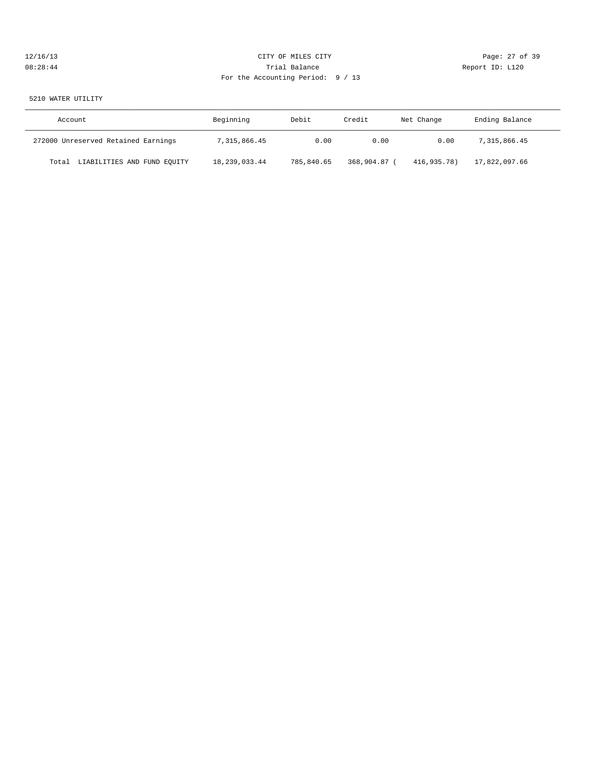## 12/16/13 Page: 27 of 39 08:28:44 Trial Balance Report ID: L120 For the Accounting Period: 9 / 13

## 5210 WATER UTILITY

| Account                              | Beginning     | Debit<br>Credit |              | Net Change  | Ending Balance |  |
|--------------------------------------|---------------|-----------------|--------------|-------------|----------------|--|
| 272000 Unreserved Retained Earnings  | 7,315,866.45  | 0.00            | 0.00         | 0.00        | 7,315,866.45   |  |
| LIABILITIES AND FUND EQUITY<br>Total | 18,239,033.44 | 785,840.65      | 368,904.87 ( | 416,935.78) | 17,822,097.66  |  |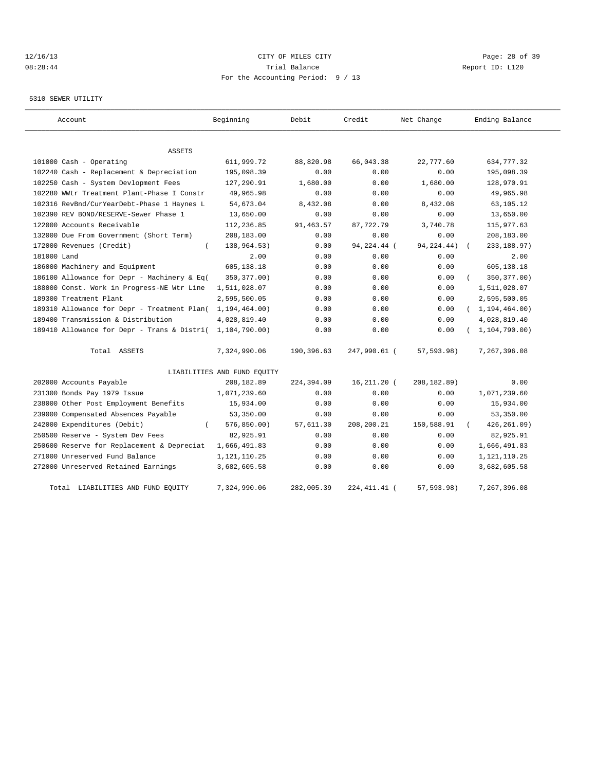## 12/16/13 Page: 28 of 39 08:28:44 Trial Balance Report ID: L120 For the Accounting Period: 9 / 13

## 5310 SEWER UTILITY

| Account                                     | Beginning                   | Debit      | Credit         | Net Change   | Ending Balance   |
|---------------------------------------------|-----------------------------|------------|----------------|--------------|------------------|
| <b>ASSETS</b>                               |                             |            |                |              |                  |
| 101000 Cash - Operating                     | 611,999.72                  | 88,820.98  | 66,043.38      | 22,777.60    | 634,777.32       |
| 102240 Cash - Replacement & Depreciation    | 195,098.39                  | 0.00       | 0.00           | 0.00         | 195,098.39       |
| 102250 Cash - System Devlopment Fees        | 127,290.91                  | 1,680.00   | 0.00           | 1,680.00     | 128,970.91       |
| 102280 WWtr Treatment Plant-Phase I Constr  | 49,965.98                   | 0.00       | 0.00           | 0.00         | 49,965.98        |
| 102316 RevBnd/CurYearDebt-Phase 1 Haynes L  | 54,673.04                   | 8,432.08   | 0.00           | 8,432.08     | 63,105.12        |
| 102390 REV BOND/RESERVE-Sewer Phase 1       | 13,650.00                   | 0.00       | 0.00           | 0.00         | 13,650.00        |
| 122000 Accounts Receivable                  | 112,236.85                  | 91,463.57  | 87,722.79      | 3,740.78     | 115,977.63       |
| 132000 Due From Government (Short Term)     | 208,183.00                  | 0.00       | 0.00           | 0.00         | 208,183.00       |
| 172000 Revenues (Credit)<br>$\left($        | 138,964.53)                 | 0.00       | 94,224.44 (    | 94, 224. 44) | 233, 188.97)     |
| 181000 Land                                 | 2.00                        | 0.00       | 0.00           | 0.00         | 2.00             |
| 186000 Machinery and Equipment              | 605,138.18                  | 0.00       | 0.00           | 0.00         | 605,138.18       |
| 186100 Allowance for Depr - Machinery & Eq( | 350, 377.00)                | 0.00       | 0.00           | 0.00         | 350, 377.00)     |
| 188000 Const. Work in Progress-NE Wtr Line  | 1,511,028.07                | 0.00       | 0.00           | 0.00         | 1,511,028.07     |
| 189300 Treatment Plant                      | 2,595,500.05                | 0.00       | 0.00           | 0.00         | 2,595,500.05     |
| 189310 Allowance for Depr - Treatment Plan( | 1, 194, 464.00)             | 0.00       | 0.00           | 0.00         | (1, 194, 464.00) |
| 189400 Transmission & Distribution          | 4,028,819.40                | 0.00       | 0.00           | 0.00         | 4,028,819.40     |
| 189410 Allowance for Depr - Trans & Distri( | 1,104,790.00)               | 0.00       | 0.00           | 0.00         | 1, 104, 790.00   |
| Total ASSETS                                | 7,324,990.06                | 190,396.63 | 247,990.61 (   | 57,593.98)   | 7,267,396.08     |
|                                             | LIABILITIES AND FUND EQUITY |            |                |              |                  |
| 202000 Accounts Payable                     | 208,182.89                  | 224,394.09 | $16, 211.20$ ( | 208, 182.89) | 0.00             |
| 231300 Bonds Pay 1979 Issue                 | 1,071,239.60                | 0.00       | 0.00           | 0.00         | 1,071,239.60     |
| 238000 Other Post Employment Benefits       | 15,934.00                   | 0.00       | 0.00           | 0.00         | 15,934.00        |
| 239000 Compensated Absences Payable         | 53,350.00                   | 0.00       | 0.00           | 0.00         | 53,350.00        |
| 242000 Expenditures (Debit)                 | 576, 850.00                 | 57,611.30  | 208,200.21     | 150,588.91   | 426, 261.09)     |
| 250500 Reserve - System Dev Fees            | 82,925.91                   | 0.00       | 0.00           | 0.00         | 82,925.91        |
| 250600 Reserve for Replacement & Depreciat  | 1,666,491.83                | 0.00       | 0.00           | 0.00         | 1,666,491.83     |
| 271000 Unreserved Fund Balance              | 1,121,110.25                | 0.00       | 0.00           | 0.00         | 1, 121, 110. 25  |
| 272000 Unreserved Retained Earnings         | 3,682,605.58                | 0.00       | 0.00           | 0.00         | 3,682,605.58     |
| Total LIABILITIES AND FUND EQUITY           | 7,324,990.06                | 282,005.39 | 224, 411. 41 ( | 57,593.98)   | 7,267,396.08     |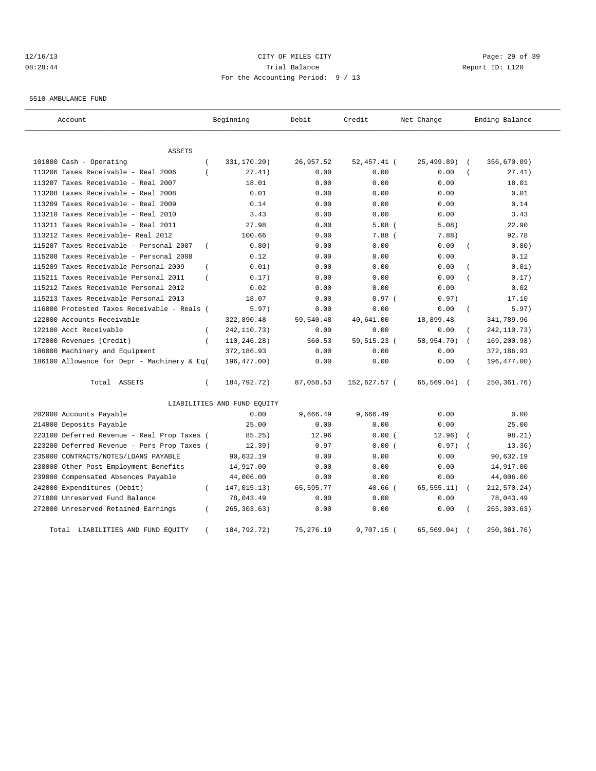## 12/16/13 Page: 29 of 39 08:28:44 Trial Balance Report ID: L120 For the Accounting Period: 9 / 13

5510 AMBULANCE FUND

| Account                                     |                | Beginning                   | Debit      | Credit        | Net Change  |            | Ending Balance |
|---------------------------------------------|----------------|-----------------------------|------------|---------------|-------------|------------|----------------|
| ASSETS                                      |                |                             |            |               |             |            |                |
| 101000 Cash - Operating                     | $\overline{ }$ | 331,170.20)                 | 26,957.52  | 52,457.41 (   | 25,499.89)  | $\sqrt{ }$ | 356,670.09)    |
| 113206 Taxes Receivable - Real 2006         | $\overline{ }$ | 27.41)                      | 0.00       | 0.00          | 0.00        |            | 27.41)         |
| 113207 Taxes Receivable - Real 2007         |                | 18.01                       | 0.00       | 0.00          | 0.00        |            | 18.01          |
| 113208 taxes Receivable - Real 2008         |                | 0.01                        | 0.00       | 0.00          | 0.00        |            | 0.01           |
| 113209 Taxes Receivable - Real 2009         |                | 0.14                        | 0.00       | 0.00          | 0.00        |            | 0.14           |
| 113210 Taxes Receivable - Real 2010         |                | 3.43                        | 0.00       | 0.00          | 0.00        |            | 3.43           |
| 113211 Taxes Receivable - Real 2011         |                | 27.98                       | 0.00       | 5.08(         | 5.08)       |            | 22.90          |
| 113212 Taxes Receivable- Real 2012          |                | 100.66                      | 0.00       | $7.88$ (      | 7.88)       |            | 92.78          |
| 115207 Taxes Receivable - Personal 2007     | $\overline{ }$ | 0.80)                       | 0.00       | 0.00          | 0.00        |            | 0.80)          |
| 115208 Taxes Receivable - Personal 2008     |                | 0.12                        | 0.00       | 0.00          | 0.00        |            | 0.12           |
| 115209 Taxes Receivable Personal 2009       | $\left($       | 0.01)                       | 0.00       | 0.00          | 0.00        |            | 0.01)          |
| 115211 Taxes Receivable Personal 2011       | $\left($       | 0.17)                       | 0.00       | 0.00          | 0.00        |            | 0.17)          |
| 115212 Taxes Receivable Personal 2012       |                | 0.02                        | 0.00       | 0.00          | 0.00        |            | 0.02           |
| 115213 Taxes Receivable Personal 2013       |                | 18.07                       | 0.00       | 0.97(         | 0.97)       |            | 17.10          |
| 116000 Protested Taxes Receivable - Reals ( |                | 5.97)                       | 0.00       | 0.00          | 0.00        |            | 5.97)          |
| 122000 Accounts Receivable                  |                | 322,890.48                  | 59,540.48  | 40,641.00     | 18,899.48   |            | 341,789.96     |
| 122100 Acct Receivable                      | $\left($       | 242, 110.73)                | 0.00       | 0.00          | 0.00        |            | 242, 110.73)   |
| 172000 Revenues (Credit)                    | $\left($       | 110,246.28)                 | 560.53     | 59, 515. 23 ( | 58,954.70)  |            | 169,200.98)    |
| 186000 Machinery and Equipment              |                | 372,186.93                  | 0.00       | 0.00          | 0.00        |            | 372,186.93     |
| 186100 Allowance for Depr - Machinery & Eq( |                | 196,477.00)                 | 0.00       | 0.00          | 0.00        | $\left($   | 196, 477.00)   |
| Total ASSETS                                | $\left($       | 184,792.72)                 | 87,058.53  | 152,627.57 (  | 65,569.04)  | $\sqrt{2}$ | 250,361.76)    |
|                                             |                | LIABILITIES AND FUND EQUITY |            |               |             |            |                |
| 202000 Accounts Payable                     |                | 0.00                        | 9,666.49   | 9,666.49      | 0.00        |            | 0.00           |
| 214000 Deposits Payable                     |                | 25.00                       | 0.00       | 0.00          | 0.00        |            | 25.00          |
| 223100 Deferred Revenue - Real Prop Taxes ( |                | 85.25)                      | 12.96      | 0.00(         | 12.96)      |            | 98.21)         |
| 223200 Deferred Revenue - Pers Prop Taxes ( |                | 12.39)                      | 0.97       | 0.00(         | 0.97)       |            | 13.36)         |
| 235000 CONTRACTS/NOTES/LOANS PAYABLE        |                | 90,632.19                   | 0.00       | 0.00          | 0.00        |            | 90,632.19      |
| 238000 Other Post Employment Benefits       |                | 14,917.00                   | 0.00       | 0.00          | 0.00        |            | 14,917.00      |
| 239000 Compensated Absences Payable         |                | 44,006.00                   | 0.00       | 0.00          | 0.00        |            | 44,006.00      |
| 242000 Expenditures (Debit)                 | $\epsilon$     | 147,015.13)                 | 65,595.77  | $40.66$ (     | 65, 555.11) | $\left($   | 212,570.24)    |
| 271000 Unreserved Fund Balance              |                | 78,043.49                   | 0.00       | 0.00          | 0.00        |            | 78,043.49      |
| 272000 Unreserved Retained Earnings         | $\left($       | 265, 303.63)                | 0.00       | 0.00          | 0.00        |            | 265, 303.63)   |
| LIABILITIES AND FUND EQUITY<br>Total        |                | 184,792.72)                 | 75, 276.19 | 9,707.15 (    | 65,569.04)  |            | 250, 361. 76)  |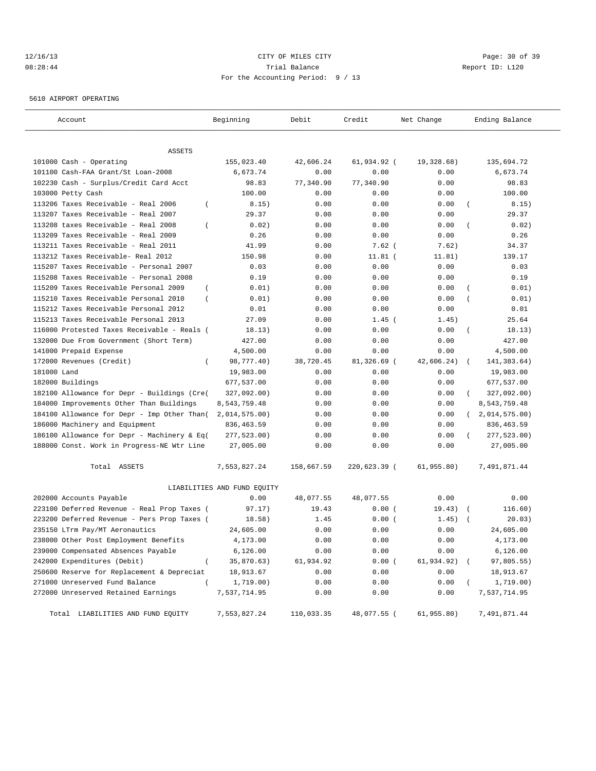## 12/16/13 Page: 30 of 39 08:28:44 Trial Balance Report ID: L120 For the Accounting Period: 9 / 13

5610 AIRPORT OPERATING

| Account                                                 | Beginning                   | Debit      | Credit       | Net Change   | Ending Balance              |
|---------------------------------------------------------|-----------------------------|------------|--------------|--------------|-----------------------------|
|                                                         |                             |            |              |              |                             |
| ASSETS                                                  |                             |            |              |              |                             |
| 101000 Cash - Operating                                 | 155,023.40                  | 42,606.24  | 61,934.92 (  | 19,328.68)   | 135,694.72                  |
| 101100 Cash-FAA Grant/St Loan-2008                      | 6,673.74                    | 0.00       | 0.00         | 0.00         | 6,673.74                    |
| 102230 Cash - Surplus/Credit Card Acct                  | 98.83                       | 77,340.90  | 77,340.90    | 0.00         | 98.83                       |
| 103000 Petty Cash                                       | 100.00                      | 0.00       | 0.00         | 0.00         | 100.00                      |
| 113206 Taxes Receivable - Real 2006<br>$\overline{ }$   | 8.15)                       | 0.00       | 0.00         | 0.00         | 8.15)<br>$\overline{ }$     |
| 113207 Taxes Receivable - Real 2007                     | 29.37                       | 0.00       | 0.00         | 0.00         | 29.37                       |
| 113208 taxes Receivable - Real 2008<br>$\overline{ }$   | 0.02)                       | 0.00       | 0.00         | 0.00         | 0.02)<br>$\left($           |
| 113209 Taxes Receivable - Real 2009                     | 0.26                        | 0.00       | 0.00         | 0.00         | 0.26                        |
| 113211 Taxes Receivable - Real 2011                     | 41.99                       | 0.00       | $7.62$ (     | 7.62)        | 34.37                       |
| 113212 Taxes Receivable- Real 2012                      | 150.98                      | 0.00       | $11.81$ (    | 11.81)       | 139.17                      |
| 115207 Taxes Receivable - Personal 2007                 | 0.03                        | 0.00       | 0.00         | 0.00         | 0.03                        |
| 115208 Taxes Receivable - Personal 2008                 | 0.19                        | 0.00       | 0.00         | 0.00         | 0.19                        |
| 115209 Taxes Receivable Personal 2009<br>$\left($       | 0.01)                       | 0.00       | 0.00         | 0.00         | 0.01)                       |
| 115210 Taxes Receivable Personal 2010<br>$\overline{ }$ | 0.01)                       | 0.00       | 0.00         | 0.00         | 0.01)                       |
| 115212 Taxes Receivable Personal 2012                   | 0.01                        | 0.00       | 0.00         | 0.00         | 0.01                        |
| 115213 Taxes Receivable Personal 2013                   | 27.09                       | 0.00       | $1.45$ (     | 1.45)        | 25.64                       |
| 116000 Protested Taxes Receivable - Reals (             | 18.13)                      | 0.00       | 0.00         | 0.00         | 18.13)<br>$\left($          |
| 132000 Due From Government (Short Term)                 | 427.00                      | 0.00       | 0.00         | 0.00         | 427.00                      |
| 141000 Prepaid Expense                                  | 4,500.00                    | 0.00       | 0.00         | 0.00         | 4,500.00                    |
| 172000 Revenues (Credit)<br>$\left($                    | 98,777.40)                  | 38,720.45  | 81,326.69 (  | 42,606.24)   | 141,383.64)                 |
| 181000 Land                                             | 19,983.00                   | 0.00       | 0.00         | 0.00         | 19,983.00                   |
| 182000 Buildings                                        | 677,537.00                  | 0.00       | 0.00         | 0.00         | 677,537.00                  |
| 182100 Allowance for Depr - Buildings (Cre(             | 327,092.00)                 | 0.00       | 0.00         | 0.00         | 327,092.00)                 |
| 184000 Improvements Other Than Buildings                | 8,543,759.48                | 0.00       | 0.00         | 0.00         | 8,543,759.48                |
| 184100 Allowance for Depr - Imp Other Than(             | 2,014,575.00)               | 0.00       | 0.00         | 0.00         | 2,014,575.00)<br>$\sqrt{2}$ |
| 186000 Machinery and Equipment                          | 836, 463.59                 | 0.00       | 0.00         | 0.00         | 836, 463.59                 |
| 186100 Allowance for Depr - Machinery & Eq(             | 277,523.00)                 | 0.00       | 0.00         | 0.00         | 277,523.00)                 |
| 188000 Const. Work in Progress-NE Wtr Line              | 27,005.00                   | 0.00       | 0.00         | 0.00         | 27,005.00                   |
| Total ASSETS                                            | 7,553,827.24                | 158,667.59 | 220,623.39 ( | 61,955.80)   | 7,491,871.44                |
|                                                         | LIABILITIES AND FUND EQUITY |            |              |              |                             |
| 202000 Accounts Payable                                 | 0.00                        | 48,077.55  | 48,077.55    | 0.00         | 0.00                        |
| 223100 Deferred Revenue - Real Prop Taxes (             | 97.17)                      | 19.43      | 0.00(        | 19.43)       | 116.60)<br>$\sqrt{2}$       |
| 223200 Deferred Revenue - Pers Prop Taxes (             | 18.58)                      | 1.45       | 0.00(        | 1.45)        | 20.03)                      |
| 235150 LTrm Pay/MT Aeronautics                          | 24,605.00                   | 0.00       | 0.00         | 0.00         | 24,605.00                   |
| 238000 Other Post Employment Benefits                   | 4,173.00                    | 0.00       | 0.00         | 0.00         | 4,173.00                    |
| 239000 Compensated Absences Payable                     | 6,126.00                    | 0.00       | 0.00         | 0.00         | 6,126.00                    |
| 242000 Expenditures (Debit)<br>$\overline{(\ }$         | 35,870.63)                  | 61,934.92  | 0.00(        | 61,934.92) ( | 97,805.55)                  |
| 250600 Reserve for Replacement & Depreciat              | 18,913.67                   | 0.00       | 0.00         | 0.00         | 18,913.67                   |
| 271000 Unreserved Fund Balance<br>$\left($              | 1,719.00)                   | 0.00       | 0.00         | 0.00         | 1,719.00)                   |
| 272000 Unreserved Retained Earnings                     | 7,537,714.95                | 0.00       | 0.00         | 0.00         | 7,537,714.95                |
|                                                         |                             |            |              |              |                             |
| Total LIABILITIES AND FUND EQUITY                       | 7,553,827.24                | 110,033.35 | 48,077.55 (  | 61, 955.80)  | 7,491,871.44                |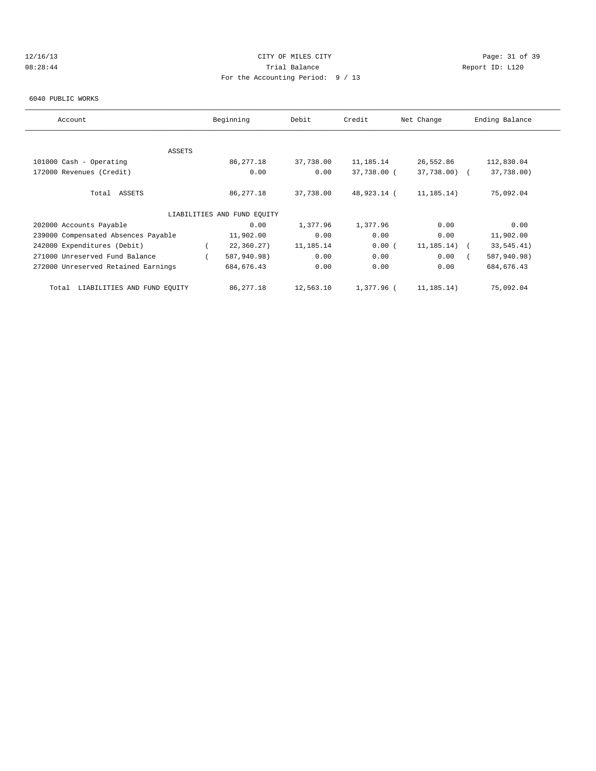## 12/16/13 Page: 31 of 39 08:28:44 Trial Balance Report ID: L120 For the Accounting Period: 9 / 13

#### 6040 PUBLIC WORKS

| Account                              | Beginning                   | Debit     | Credit      | Net Change       | Ending Balance |
|--------------------------------------|-----------------------------|-----------|-------------|------------------|----------------|
|                                      |                             |           |             |                  |                |
| <b>ASSETS</b>                        |                             |           |             |                  |                |
| 101000 Cash - Operating              | 86,277.18                   | 37,738.00 | 11,185.14   | 26,552.86        | 112,830.04     |
| 172000 Revenues (Credit)             | 0.00                        | 0.00      | 37,738.00 ( | 37,738.00) (     | 37,738.00)     |
| Total ASSETS                         | 86,277.18                   | 37,738.00 | 48,923.14 ( | 11,185.14)       | 75,092.04      |
|                                      | LIABILITIES AND FUND EOUITY |           |             |                  |                |
| 202000 Accounts Payable              | 0.00                        | 1,377.96  | 1,377.96    | 0.00             | 0.00           |
| 239000 Compensated Absences Payable  | 11,902.00                   | 0.00      | 0.00        | 0.00             | 11,902.00      |
| 242000 Expenditures (Debit)          | 22, 360.27)                 | 11,185.14 | 0.00(       | $11, 185, 14)$ ( | 33,545.41)     |
| 271000 Unreserved Fund Balance       | 587,940.98)                 | 0.00      | 0.00        | 0.00             | 587,940.98)    |
| 272000 Unreserved Retained Earnings  | 684, 676.43                 | 0.00      | 0.00        | 0.00             | 684, 676.43    |
| LIABILITIES AND FUND EOUITY<br>Total | 86,277.18                   | 12,563.10 | 1,377.96 (  | 11,185.14)       | 75,092.04      |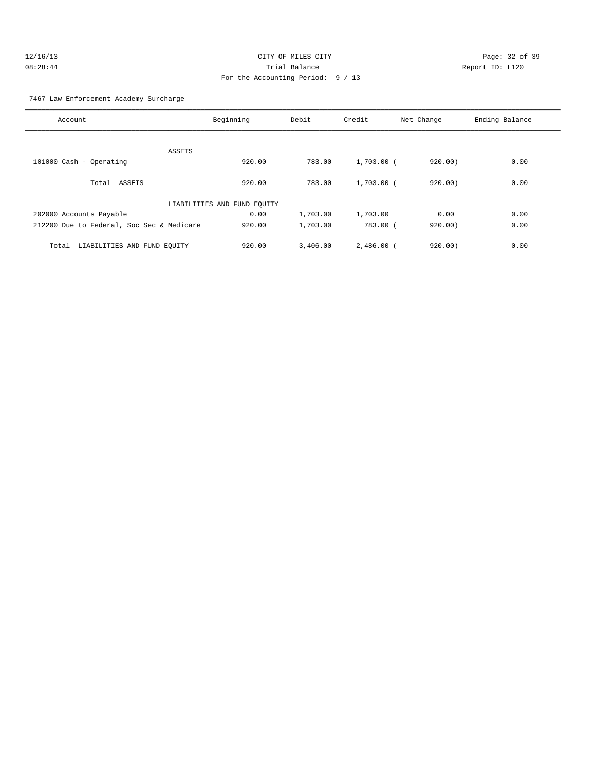| 12/16/13 | CITY OF MILES CITY                |
|----------|-----------------------------------|
| 08:28:44 | Trial Balance                     |
|          | For the Accounting Period: 9 / 13 |

Page: 32 of 39 Report ID: L120

## 7467 Law Enforcement Academy Surcharge

| Account                                   | Beginning                   | Debit    | Credit       | Net Change | Ending Balance |
|-------------------------------------------|-----------------------------|----------|--------------|------------|----------------|
|                                           |                             |          |              |            |                |
| ASSETS                                    |                             |          |              |            |                |
| 101000 Cash - Operating                   | 920.00                      | 783.00   | $1,703.00$ ( | 920.00)    | 0.00           |
| Total ASSETS                              | 920.00                      | 783.00   | $1,703.00$ ( | 920.00)    | 0.00           |
|                                           | LIABILITIES AND FUND EQUITY |          |              |            |                |
| 202000 Accounts Payable                   | 0.00                        | 1,703.00 | 1,703.00     | 0.00       | 0.00           |
| 212200 Due to Federal, Soc Sec & Medicare | 920.00                      | 1,703.00 | 783.00 (     | 920.00)    | 0.00           |
| LIABILITIES AND FUND EQUITY<br>Total      | 920.00                      | 3.406.00 | $2,486.00$ ( | 920.00)    | 0.00           |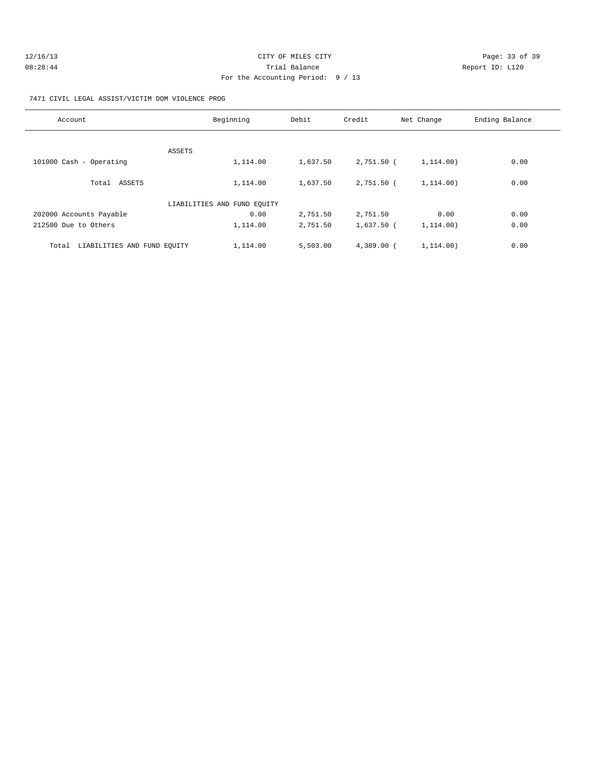| 12/16/13 | CITY OF MILES CITY                | Page: 33 of 39  |
|----------|-----------------------------------|-----------------|
| 08:28:44 | Trial Balance                     | Report ID: L120 |
|          | For the Accounting Period: 9 / 13 |                 |

7471 CIVIL LEGAL ASSIST/VICTIM DOM VIOLENCE PROG

| Account                              | Beginning                   | Debit    | Credit       | Net Change | Ending Balance |
|--------------------------------------|-----------------------------|----------|--------------|------------|----------------|
|                                      |                             |          |              |            |                |
| ASSETS                               |                             |          |              |            |                |
| 101000 Cash - Operating              | 1,114.00                    | 1,637.50 | 2,751.50 (   | 1,114.00)  | 0.00           |
| Total ASSETS                         | 1,114.00                    | 1,637.50 | 2,751.50 (   | 1.114.00)  | 0.00           |
|                                      | LIABILITIES AND FUND EQUITY |          |              |            |                |
| 202000 Accounts Payable              | 0.00                        | 2,751.50 | 2,751.50     | 0.00       | 0.00           |
| 212500 Due to Others                 | 1,114.00                    | 2,751.50 | 1,637.50 (   | 1.114.00)  | 0.00           |
| LIABILITIES AND FUND EQUITY<br>Total | 1,114.00                    | 5,503.00 | $4,389.00$ ( | 1.114.00)  | 0.00           |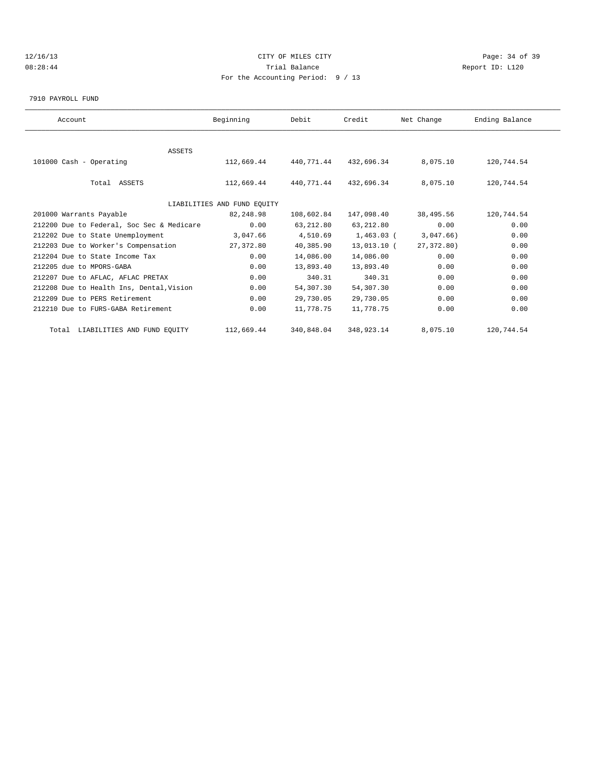## 12/16/13 Page: 34 of 39 08:28:44 Trial Balance Report ID: L120 For the Accounting Period: 9 / 13

#### 7910 PAYROLL FUND

| Account                                   | Beginning                   | Debit      | Credit       | Net Change | Ending Balance |  |
|-------------------------------------------|-----------------------------|------------|--------------|------------|----------------|--|
|                                           |                             |            |              |            |                |  |
| <b>ASSETS</b>                             |                             |            |              |            |                |  |
| 101000 Cash - Operating                   | 112,669.44                  | 440,771.44 | 432,696.34   | 8,075.10   | 120,744.54     |  |
| Total ASSETS                              | 112,669.44                  | 440,771.44 | 432,696.34   | 8,075.10   | 120,744.54     |  |
|                                           | LIABILITIES AND FUND EQUITY |            |              |            |                |  |
| 201000 Warrants Payable                   | 82,248.98                   | 108,602.84 | 147,098.40   | 38,495.56  | 120,744.54     |  |
| 212200 Due to Federal, Soc Sec & Medicare | 0.00                        | 63,212.80  | 63,212.80    | 0.00       | 0.00           |  |
| 212202 Due to State Unemployment          | 3,047.66                    | 4,510.69   | $1,463.03$ ( | 3,047.66)  | 0.00           |  |
| 212203 Due to Worker's Compensation       | 27,372.80                   | 40,385.90  | 13,013.10 (  | 27,372.80) | 0.00           |  |
| 212204 Due to State Income Tax            | 0.00                        | 14,086.00  | 14,086.00    | 0.00       | 0.00           |  |
| 212205 due to MPORS-GABA                  | 0.00                        | 13,893.40  | 13,893.40    | 0.00       | 0.00           |  |
| 212207 Due to AFLAC, AFLAC PRETAX         | 0.00                        | 340.31     | 340.31       | 0.00       | 0.00           |  |
| 212208 Due to Health Ins, Dental, Vision  | 0.00                        | 54,307.30  | 54,307.30    | 0.00       | 0.00           |  |
| 212209 Due to PERS Retirement             | 0.00                        | 29,730.05  | 29,730.05    | 0.00       | 0.00           |  |
| 212210 Due to FURS-GABA Retirement        | 0.00                        | 11,778.75  | 11,778.75    | 0.00       | 0.00           |  |
| Total LIABILITIES AND FUND EQUITY         | 112,669.44                  | 340,848.04 | 348,923.14   | 8,075.10   | 120,744.54     |  |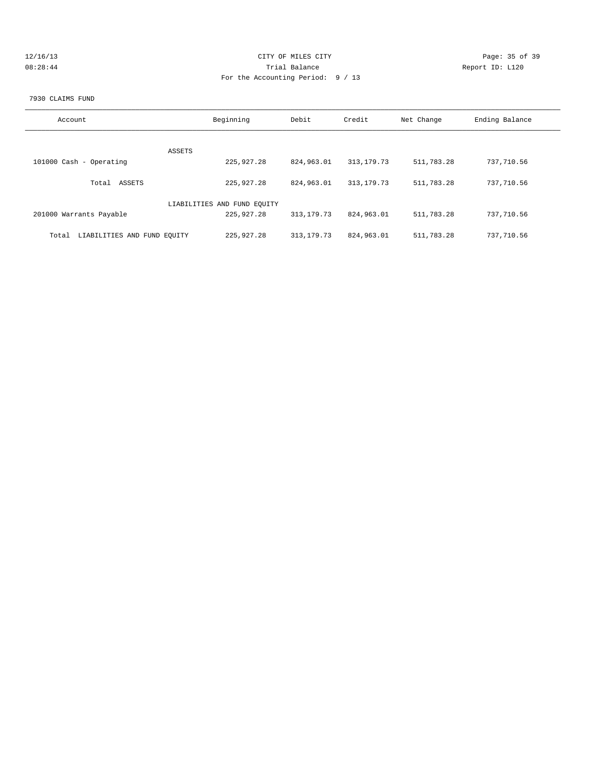| 12/16/13 | CITY OF MILES CITY                | Page: 35 of 39  |
|----------|-----------------------------------|-----------------|
| 08:28:44 | Trial Balance                     | Report ID: L120 |
|          | For the Accounting Period: 9 / 13 |                 |
|          |                                   |                 |

#### 7930 CLAIMS FUND

| Account                              | Beginning                   | Debit        | Credit       | Net Change | Ending Balance |
|--------------------------------------|-----------------------------|--------------|--------------|------------|----------------|
| ASSETS                               |                             |              |              |            |                |
| 101000 Cash - Operating              | 225,927.28                  | 824,963.01   | 313, 179. 73 | 511,783.28 | 737,710.56     |
| ASSETS<br>Total                      | 225,927.28                  | 824,963.01   | 313, 179. 73 | 511,783.28 | 737,710.56     |
|                                      | LIABILITIES AND FUND EQUITY |              |              |            |                |
| 201000 Warrants Payable              | 225,927.28                  | 313, 179. 73 | 824,963.01   | 511,783.28 | 737,710.56     |
| LIABILITIES AND FUND EQUITY<br>Total | 225,927.28                  | 313, 179. 73 | 824,963.01   | 511,783.28 | 737,710.56     |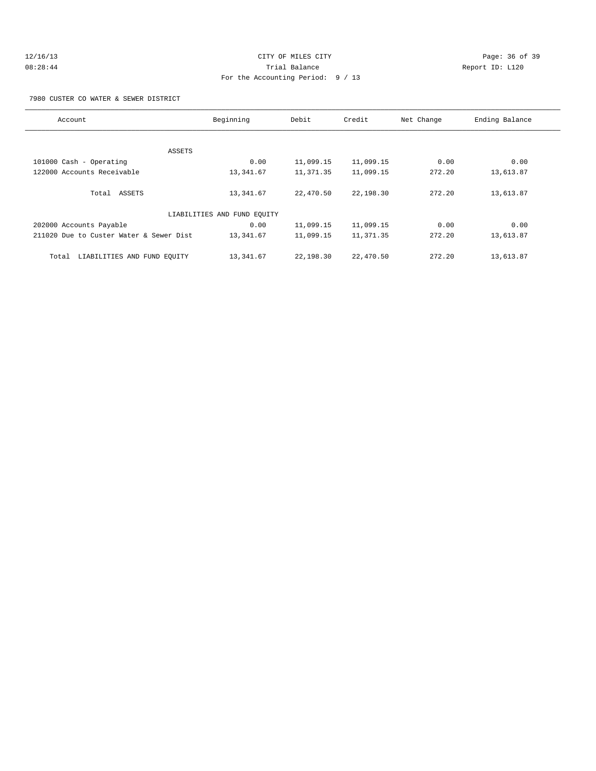# 12/16/13 Page: 36 of 39 08:28:44 Trial Balance Report ID: L120 For the Accounting Period: 9 / 13

7980 CUSTER CO WATER & SEWER DISTRICT

| Account                                 | Beginning                   | Debit     | Credit    | Net Change | Ending Balance |
|-----------------------------------------|-----------------------------|-----------|-----------|------------|----------------|
|                                         |                             |           |           |            |                |
| ASSETS                                  |                             |           |           |            |                |
| 101000 Cash - Operating                 | 0.00                        | 11,099.15 | 11,099.15 | 0.00       | 0.00           |
| 122000 Accounts Receivable              | 13,341.67                   | 11,371.35 | 11,099.15 | 272.20     | 13,613.87      |
|                                         |                             |           |           |            |                |
| Total ASSETS                            | 13,341.67                   | 22,470.50 | 22,198.30 | 272.20     | 13,613.87      |
|                                         |                             |           |           |            |                |
|                                         | LIABILITIES AND FUND EQUITY |           |           |            |                |
| 202000 Accounts Payable                 | 0.00                        | 11,099.15 | 11,099.15 | 0.00       | 0.00           |
| 211020 Due to Custer Water & Sewer Dist | 13,341.67                   | 11,099.15 | 11,371.35 | 272.20     | 13,613.87      |
|                                         |                             |           |           |            |                |
| LIABILITIES AND FUND EOUITY<br>Total    | 13,341.67                   | 22,198.30 | 22,470.50 | 272.20     | 13,613.87      |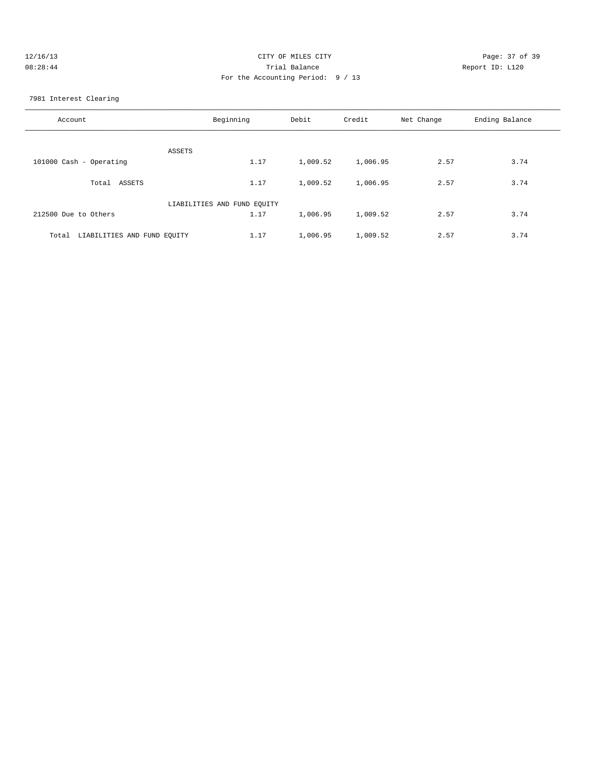| 12/16/13 | CITY OF MILES CITY                | Page: 37 of 39  |
|----------|-----------------------------------|-----------------|
| 08:28:44 | Trial Balance                     | Report ID: L120 |
|          | For the Accounting Period: 9 / 13 |                 |
|          |                                   |                 |

7981 Interest Clearing

| Account                              | Beginning                   | Debit    | Credit   | Net Change | Ending Balance |
|--------------------------------------|-----------------------------|----------|----------|------------|----------------|
| ASSETS                               |                             |          |          |            |                |
| 101000 Cash - Operating              | 1.17                        | 1,009.52 | 1,006.95 | 2.57       | 3.74           |
| Total<br>ASSETS                      | 1.17                        | 1,009.52 | 1,006.95 | 2.57       | 3.74           |
|                                      | LIABILITIES AND FUND EQUITY |          |          |            |                |
| 212500 Due to Others                 | 1.17                        | 1,006.95 | 1,009.52 | 2.57       | 3.74           |
| LIABILITIES AND FUND EQUITY<br>Total | 1.17                        | 1,006.95 | 1,009.52 | 2.57       | 3.74           |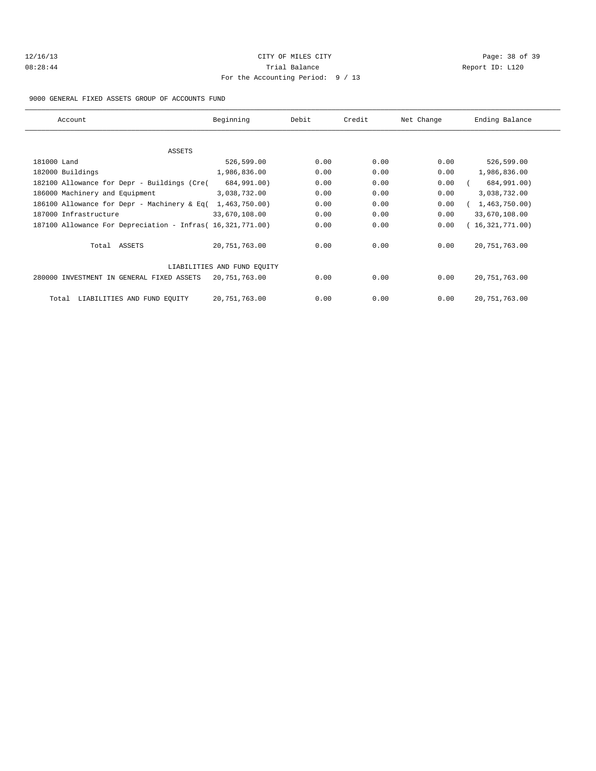# 12/16/13 Page: 38 of 39 08:28:44 Trial Balance Report ID: L120 For the Accounting Period: 9 / 13

9000 GENERAL FIXED ASSETS GROUP OF ACCOUNTS FUND

| Account                                                    | Beginning                   | Debit | Credit | Net Change | Ending Balance  |
|------------------------------------------------------------|-----------------------------|-------|--------|------------|-----------------|
|                                                            |                             |       |        |            |                 |
| ASSETS                                                     |                             |       |        |            |                 |
| 181000 Land                                                | 526,599.00                  | 0.00  | 0.00   | 0.00       | 526,599.00      |
| 182000 Buildings                                           | 1,986,836.00                | 0.00  | 0.00   | 0.00       | 1,986,836.00    |
| 182100 Allowance for Depr - Buildings (Cre(                | 684,991.00)                 | 0.00  | 0.00   | 0.00       | 684,991.00)     |
| 186000 Machinery and Equipment                             | 3,038,732.00                | 0.00  | 0.00   | 0.00       | 3,038,732.00    |
| 186100 Allowance for Depr - Machinery & Eq(                | 1,463,750.00)               | 0.00  | 0.00   | 0.00       | 1,463,750.00    |
| 187000 Infrastructure                                      | 33,670,108.00               | 0.00  | 0.00   | 0.00       | 33,670,108.00   |
| 187100 Allowance For Depreciation - Infras( 16,321,771.00) |                             | 0.00  | 0.00   | 0.00       | 16,321,771.00   |
| Total ASSETS                                               | 20,751,763.00               | 0.00  | 0.00   | 0.00       | 20, 751, 763.00 |
|                                                            | LIABILITIES AND FUND EOUITY |       |        |            |                 |
| 280000 INVESTMENT IN GENERAL FIXED ASSETS                  | 20,751,763.00               | 0.00  | 0.00   | 0.00       | 20, 751, 763.00 |
| LIABILITIES AND FUND EQUITY<br>Total                       | 20,751,763.00               | 0.00  | 0.00   | 0.00       | 20, 751, 763.00 |